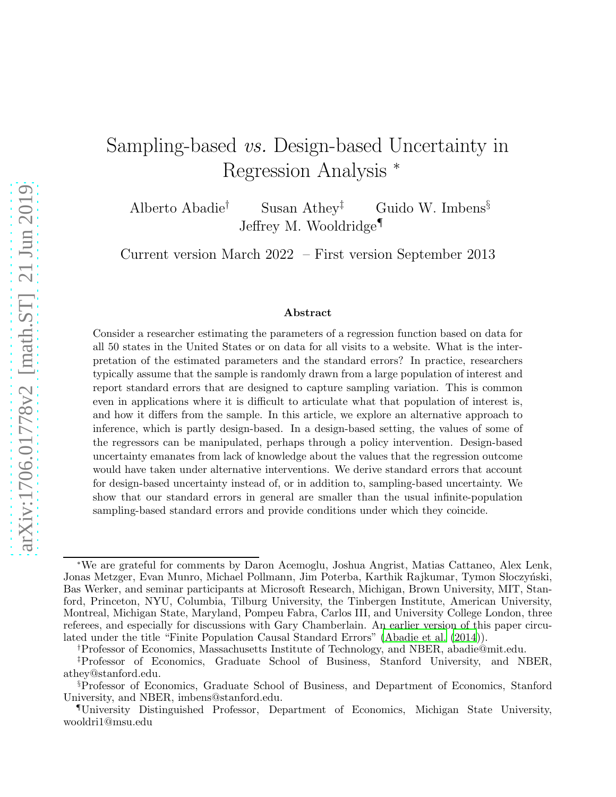# Sampling-based vs. Design-based Uncertainty in Regression Analysis <sup>∗</sup>

Alberto Abadie<sup>†</sup> Susan Athey<sup>‡</sup> Guido W. Imbens<sup>§</sup> Jeffrey M. Wooldridge¶

Current version March 2022 – First version September 2013

#### Abstract

Consider a researcher estimating the parameters of a regression function based on data for all 50 states in the United States or on data for all visits to a website. What is the interpretation of the estimated parameters and the standard errors? In practice, researchers typically assume that the sample is randomly drawn from a large population of interest and report standard errors that are designed to capture sampling variation. This is common even in applications where it is difficult to articulate what that population of interest is, and how it differs from the sample. In this article, we explore an alternative approach to inference, which is partly design-based. In a design-based setting, the values of some of the regressors can be manipulated, perhaps through a policy intervention. Design-based uncertainty emanates from lack of knowledge about the values that the regression outcome would have taken under alternative interventions. We derive standard errors that account for design-based uncertainty instead of, or in addition to, sampling-based uncertainty. We show that our standard errors in general are smaller than the usual infinite-population sampling-based standard errors and provide conditions under which they coincide.

<sup>∗</sup>We are grateful for comments by Daron Acemoglu, Joshua Angrist, Matias Cattaneo, Alex Lenk, Jonas Metzger, Evan Munro, Michael Pollmann, Jim Poterba, Karthik Rajkumar, Tymon Słoczyński, Bas Werker, and seminar participants at Microsoft Research, Michigan, Brown University, MIT, Stanford, Princeton, NYU, Columbia, Tilburg University, the Tinbergen Institute, American University, Montreal, Michigan State, Maryland, Pompeu Fabra, Carlos III, and University College London, three referees, and especially for discussions with Gary Chamberlain. An earlier version of this paper circulated under the title "Finite Population Causal Standard Errors" [\(Abadie et al. \(2014\)](#page-35-0)).

<sup>†</sup>Professor of Economics, Massachusetts Institute of Technology, and NBER, abadie@mit.edu.

<sup>‡</sup>Professor of Economics, Graduate School of Business, Stanford University, and NBER, athey@stanford.edu.

<sup>§</sup>Professor of Economics, Graduate School of Business, and Department of Economics, Stanford University, and NBER, imbens@stanford.edu.

<sup>¶</sup>University Distinguished Professor, Department of Economics, Michigan State University, wooldri1@msu.edu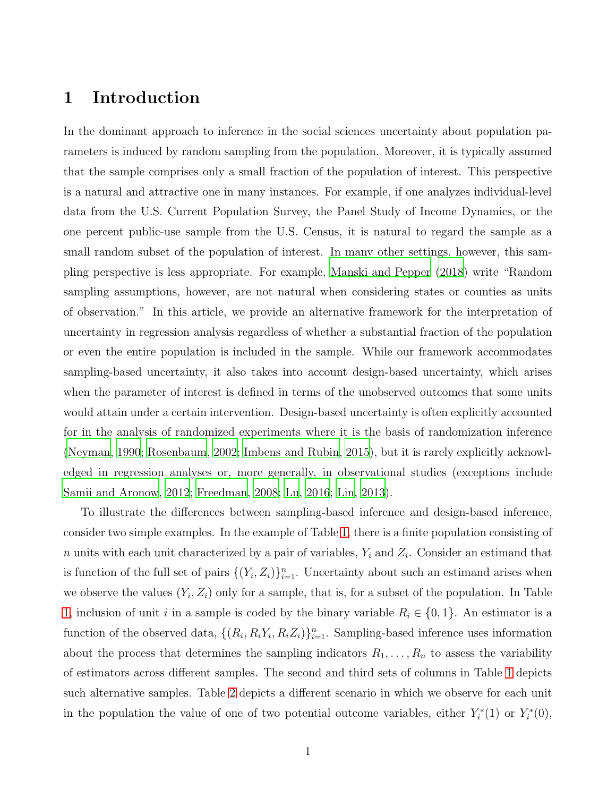# 1 Introduction

In the dominant approach to inference in the social sciences uncertainty about population parameters is induced by random sampling from the population. Moreover, it is typically assumed that the sample comprises only a small fraction of the population of interest. This perspective is a natural and attractive one in many instances. For example, if one analyzes individual-level data from the U.S. Current Population Survey, the Panel Study of Income Dynamics, or the one percent public-use sample from the U.S. Census, it is natural to regard the sample as a small random subset of the population of interest. In many other settings, however, this sampling perspective is less appropriate. For example, [Manski and Pepper \(2018\)](#page-37-0) write "Random sampling assumptions, however, are not natural when considering states or counties as units of observation." In this article, we provide an alternative framework for the interpretation of uncertainty in regression analysis regardless of whether a substantial fraction of the population or even the entire population is included in the sample. While our framework accommodates sampling-based uncertainty, it also takes into account design-based uncertainty, which arises when the parameter of interest is defined in terms of the unobserved outcomes that some units would attain under a certain intervention. Design-based uncertainty is often explicitly accounted for in the analysis of randomized experiments where it is the basis of randomization inference [\(Neyman, 1990;](#page-37-1) [Rosenbaum, 2002;](#page-37-2) [Imbens and Rubin](#page-36-0), [2015](#page-36-0)), but it is rarely explicitly acknowledged in regression analyses or, more generally, in observational studies (exceptions include [Samii and Aronow, 2012;](#page-37-3) [Freedman, 2008;](#page-36-1) [Lu](#page-37-4), [2016;](#page-37-4) [Lin](#page-37-5), [2013\)](#page-37-5).

To illustrate the differences between sampling-based inference and design-based inference, consider two simple examples. In the example of Table [1,](#page-2-0) there is a finite population consisting of n units with each unit characterized by a pair of variables,  $Y_i$  and  $Z_i$ . Consider an estimand that is function of the full set of pairs  $\{(Y_i, Z_i)\}_{i=1}^n$ . Uncertainty about such an estimand arises when we observe the values  $(Y_i, Z_i)$  only for a sample, that is, for a subset of the population. In Table [1,](#page-2-0) inclusion of unit i in a sample is coded by the binary variable  $R_i \in \{0, 1\}$ . An estimator is a function of the observed data,  $\{(R_i, R_iY_i, R_iZ_i)\}_{i=1}^n$ . Sampling-based inference uses information about the process that determines the sampling indicators  $R_1, \ldots, R_n$  to assess the variability of estimators across different samples. The second and third sets of columns in Table [1](#page-2-0) depicts such alternative samples. Table [2](#page-2-1) depicts a different scenario in which we observe for each unit in the population the value of one of two potential outcome variables, either  $Y_i^*$  $i^*(1)$  or  $Y_i^*$  $\tilde{C}_{i}^{*}(0),$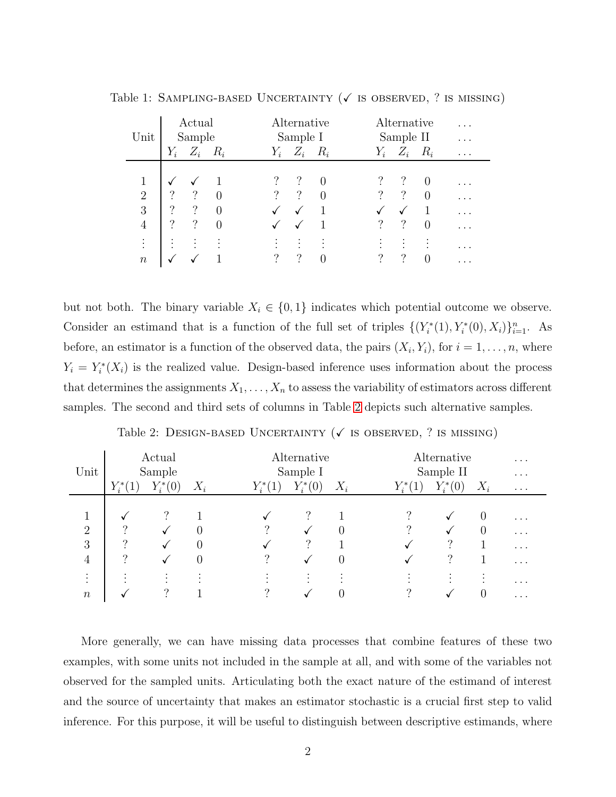|                | Actual                             | Alternative                      | Alternative                     | $\cdots$ |
|----------------|------------------------------------|----------------------------------|---------------------------------|----------|
| Unit           | Sample                             | Sample I                         | Sample II                       | $\cdots$ |
|                | $Y_i \quad Z_i \quad R_i$          | $Y_i \quad Z_i \quad R_i$        | $Z_i$ $R_i$<br>$Y_i$            | $\cdots$ |
|                |                                    |                                  |                                 |          |
| 1              |                                    | $\Omega$                         | $\Omega$                        | .        |
| $\overline{2}$ | ?<br>$\gamma$<br>$\theta$          | $\gamma$<br>$\gamma$<br>$\Omega$ | $\gamma$<br>$\cdot$<br>$\theta$ | $\cdots$ |
| 3              | $\ddot{?}$<br>$\gamma$<br>$\theta$ | $\sqrt{2}$                       |                                 | $\cdots$ |
| 4              | ?<br>$\cdot$ ?<br>$\theta$         | ✓                                | $\cdot$<br>?<br>$\theta$        | .        |
| $\vdots$       | $\bullet$<br>$\cdot$               | $\bullet$<br>$\bullet$           | $\bullet$                       |          |
| $\, n$         |                                    | ?<br>$\gamma$<br>$\Omega$        | ?<br>?<br>$\overline{0}$        | .        |
|                |                                    |                                  |                                 |          |

<span id="page-2-0"></span>Table 1: SAMPLING-BASED UNCERTAINTY ( $\checkmark$  is observed, ? is missing)

but not both. The binary variable  $X_i \in \{0,1\}$  indicates which potential outcome we observe. Consider an estimand that is a function of the full set of triples  $\{(Y_i^*)$  $Y_i^*(1), Y_i^*(0), X_i)\}_{i=1}^n$ . As before, an estimator is a function of the observed data, the pairs  $(X_i, Y_i)$ , for  $i = 1, \ldots, n$ , where  $Y_i = Y_i^*$  $\mathcal{I}_i^*(X_i)$  is the realized value. Design-based inference uses information about the process that determines the assignments  $X_1, \ldots, X_n$  to assess the variability of estimators across different samples. The second and third sets of columns in Table [2](#page-2-1) depicts such alternative samples.

<span id="page-2-1"></span>

|                |         | Actual         |                |          | Alternative                 |          |                       | Alternative                 |              | $\cdots$ |
|----------------|---------|----------------|----------------|----------|-----------------------------|----------|-----------------------|-----------------------------|--------------|----------|
| Unit           | Sample  |                |                |          | Sample I                    |          |                       | Sample II                   |              |          |
|                | $Y_i^*$ | $Y^*_i$<br>(0) | $X_i$          | $Y^*_i$  | $Y^*_{i}$<br>(0)            | $X_i$    | $Y^*_i$<br>$\cdot(1)$ | $Y^*$<br>(0)                | $X_i$        | $\cdots$ |
|                |         |                |                |          |                             |          |                       |                             |              |          |
|                |         |                |                |          | ?                           |          |                       |                             | $\Omega$     | $\cdots$ |
| $\overline{2}$ | റ       |                | $\theta$       | റ        |                             | $\theta$ | ച                     | √                           | $\cup$       | $\cdots$ |
| 3              | ച       | √              | $\overline{0}$ |          | 2                           |          |                       | $\ddot{?}$                  |              | $\cdots$ |
| $\overline{4}$ |         |                | $\overline{0}$ |          |                             | $\theta$ |                       | റ                           |              | $\cdots$ |
| $\bullet$      | $\cdot$ | ٠<br>$\cdot$   | ٠              |          | ٠<br>$\bullet$<br>$\bullet$ | $\cdot$  |                       | ٠<br>$\bullet$<br>$\bullet$ | ٠<br>$\cdot$ | $\cdots$ |
| $\, n$         |         | റ              |                | $\Omega$ |                             | 0        | ച                     |                             |              | $\cdots$ |

Table 2: DESIGN-BASED UNCERTAINTY ( $\checkmark$  is observed, ? is missing)

More generally, we can have missing data processes that combine features of these two examples, with some units not included in the sample at all, and with some of the variables not observed for the sampled units. Articulating both the exact nature of the estimand of interest and the source of uncertainty that makes an estimator stochastic is a crucial first step to valid inference. For this purpose, it will be useful to distinguish between descriptive estimands, where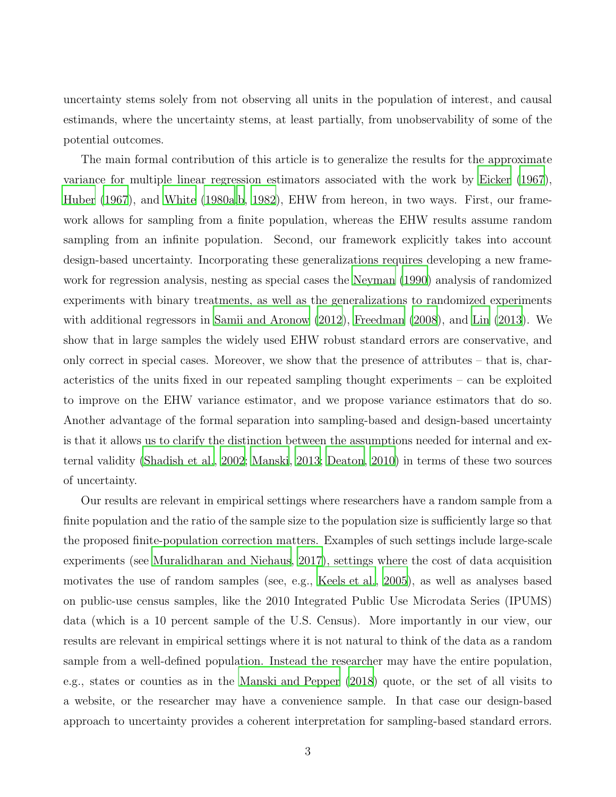uncertainty stems solely from not observing all units in the population of interest, and causal estimands, where the uncertainty stems, at least partially, from unobservability of some of the potential outcomes.

The main formal contribution of this article is to generalize the results for the approximate variance for multiple linear regression estimators associated with the work by [Eicker \(1967](#page-36-2)), [Huber \(1967](#page-36-3)), and [White \(1980a](#page-37-6)[,b](#page-37-7), [1982](#page-38-0)), EHW from hereon, in two ways. First, our framework allows for sampling from a finite population, whereas the EHW results assume random sampling from an infinite population. Second, our framework explicitly takes into account design-based uncertainty. Incorporating these generalizations requires developing a new framework for regression analysis, nesting as special cases the [Neyman](#page-37-1) [\(1990\)](#page-37-1) analysis of randomized experiments with binary treatments, as well as the generalizations to randomized experiments with additional regressors in [Samii and Aronow \(2012](#page-37-3)), [Freedman \(2008\)](#page-36-1), and [Lin \(2013\)](#page-37-5). We show that in large samples the widely used EHW robust standard errors are conservative, and only correct in special cases. Moreover, we show that the presence of attributes – that is, characteristics of the units fixed in our repeated sampling thought experiments – can be exploited to improve on the EHW variance estimator, and we propose variance estimators that do so. Another advantage of the formal separation into sampling-based and design-based uncertainty is that it allows us to clarify the distinction between the assumptions needed for internal and external validity [\(Shadish et al., 2002](#page-37-8); [Manski](#page-37-9), [2013](#page-37-9); [Deaton](#page-36-4), [2010\)](#page-36-4) in terms of these two sources of uncertainty.

Our results are relevant in empirical settings where researchers have a random sample from a finite population and the ratio of the sample size to the population size is sufficiently large so that the proposed finite-population correction matters. Examples of such settings include large-scale experiments (see [Muralidharan and Niehaus](#page-37-10), [2017](#page-37-10)), settings where the cost of data acquisition motivates the use of random samples (see, e.g., [Keels et al.](#page-37-11), [2005\)](#page-37-11), as well as analyses based on public-use census samples, like the 2010 Integrated Public Use Microdata Series (IPUMS) data (which is a 10 percent sample of the U.S. Census). More importantly in our view, our results are relevant in empirical settings where it is not natural to think of the data as a random sample from a well-defined population. Instead the researcher may have the entire population, e.g., states or counties as in the [Manski and Pepper \(2018](#page-37-0)) quote, or the set of all visits to a website, or the researcher may have a convenience sample. In that case our design-based approach to uncertainty provides a coherent interpretation for sampling-based standard errors.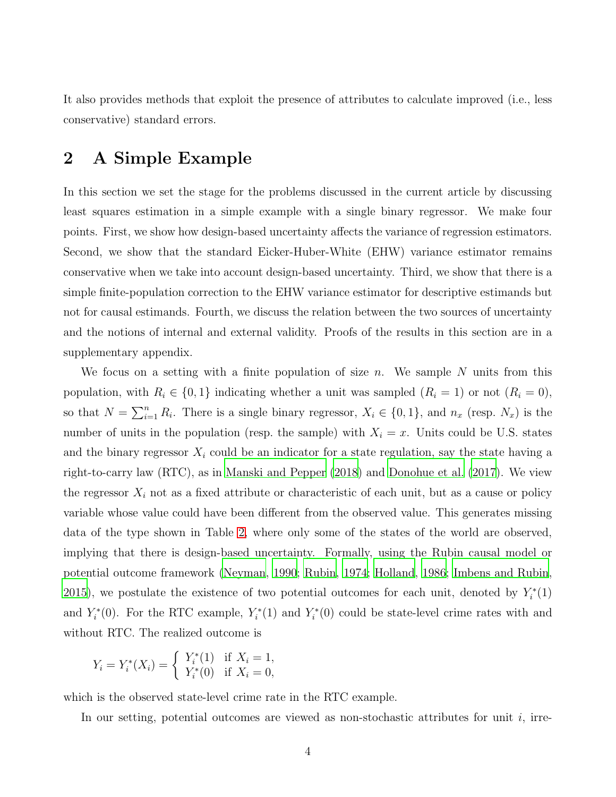It also provides methods that exploit the presence of attributes to calculate improved (i.e., less conservative) standard errors.

# <span id="page-4-0"></span>2 A Simple Example

In this section we set the stage for the problems discussed in the current article by discussing least squares estimation in a simple example with a single binary regressor. We make four points. First, we show how design-based uncertainty affects the variance of regression estimators. Second, we show that the standard Eicker-Huber-White (EHW) variance estimator remains conservative when we take into account design-based uncertainty. Third, we show that there is a simple finite-population correction to the EHW variance estimator for descriptive estimands but not for causal estimands. Fourth, we discuss the relation between the two sources of uncertainty and the notions of internal and external validity. Proofs of the results in this section are in a supplementary appendix.

We focus on a setting with a finite population of size n. We sample N units from this population, with  $R_i \in \{0, 1\}$  indicating whether a unit was sampled  $(R_i = 1)$  or not  $(R_i = 0)$ , so that  $N = \sum_{i=1}^{n} R_i$ . There is a single binary regressor,  $X_i \in \{0, 1\}$ , and  $n_x$  (resp.  $N_x$ ) is the number of units in the population (resp. the sample) with  $X_i = x$ . Units could be U.S. states and the binary regressor  $X_i$  could be an indicator for a state regulation, say the state having a right-to-carry law (RTC), as in [Manski and Pepper \(2018\)](#page-37-0) and [Donohue et al. \(2017](#page-36-5)). We view the regressor  $X_i$  not as a fixed attribute or characteristic of each unit, but as a cause or policy variable whose value could have been different from the observed value. This generates missing data of the type shown in Table [2,](#page-2-1) where only some of the states of the world are observed, implying that there is design-based uncertainty. Formally, using the Rubin causal model or potential outcome framework [\(Neyman](#page-37-1), [1990](#page-37-1); [Rubin](#page-37-12), [1974](#page-37-12); [Holland](#page-36-6), [1986;](#page-36-6) [Imbens and Rubin,](#page-36-0) [2015\)](#page-36-0), we postulate the existence of two potential outcomes for each unit, denoted by  $Y_i^*$  $\binom{1}{i}$ and  $Y_i^*$ <sup> $\zeta_i^*(0)$ . For the RTC example,  $Y_i^*$ </sup>  $Y_i^*(1)$  and  $Y_i^*$  $\zeta_i^*(0)$  could be state-level crime rates with and without RTC. The realized outcome is

$$
Y_i = Y_i^*(X_i) = \begin{cases} Y_i^*(1) & \text{if } X_i = 1, \\ Y_i^*(0) & \text{if } X_i = 0, \end{cases}
$$

which is the observed state-level crime rate in the RTC example.

In our setting, potential outcomes are viewed as non-stochastic attributes for unit  $i$ , irre-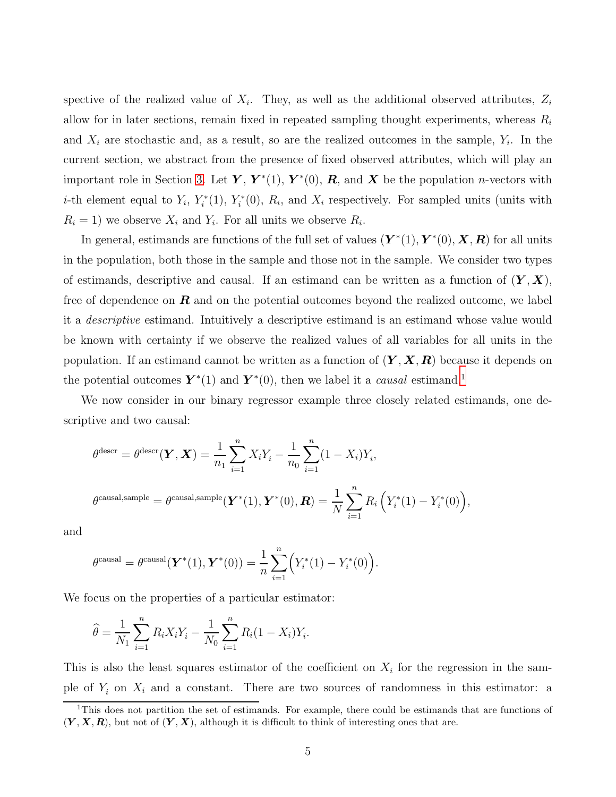spective of the realized value of  $X_i$ . They, as well as the additional observed attributes,  $Z_i$ allow for in later sections, remain fixed in repeated sampling thought experiments, whereas  $R_i$ and  $X_i$  are stochastic and, as a result, so are the realized outcomes in the sample,  $Y_i$ . In the current section, we abstract from the presence of fixed observed attributes, which will play an important role in Section [3.](#page-9-0) Let  $\boldsymbol{Y}, \boldsymbol{Y}^*(1), \boldsymbol{Y}^*(0), \boldsymbol{R}$ , and  $\boldsymbol{X}$  be the population *n*-vectors with *i*-th element equal to  $Y_i$ ,  $Y_i^*$  $i^*(1), Y_i^*$  $X_i^*(0)$ ,  $R_i$ , and  $X_i$  respectively. For sampled units (units with  $R_i = 1$ ) we observe  $X_i$  and  $Y_i$ . For all units we observe  $R_i$ .

In general, estimands are functions of the full set of values  $(Y^*(1), Y^*(0), X, R)$  for all units in the population, both those in the sample and those not in the sample. We consider two types of estimands, descriptive and causal. If an estimand can be written as a function of  $(Y, X)$ , free of dependence on  $\bm{R}$  and on the potential outcomes beyond the realized outcome, we label it a descriptive estimand. Intuitively a descriptive estimand is an estimand whose value would be known with certainty if we observe the realized values of all variables for all units in the population. If an estimand cannot be written as a function of  $(Y, X, R)$  because it depends on the potential outcomes  $\mathbf{Y}^*(1)$  $\mathbf{Y}^*(1)$  $\mathbf{Y}^*(1)$  and  $\mathbf{Y}^*(0)$ , then we label it a *causal* estimand.<sup>1</sup>

We now consider in our binary regressor example three closely related estimands, one descriptive and two causal:

$$
\theta^{\text{desc}} = \theta^{\text{desc}}(\mathbf{Y}, \mathbf{X}) = \frac{1}{n_1} \sum_{i=1}^{n} X_i Y_i - \frac{1}{n_0} \sum_{i=1}^{n} (1 - X_i) Y_i,
$$
  

$$
\theta^{\text{causal,sample}} = \theta^{\text{causal,sample}}(\mathbf{Y}^*(1), \mathbf{Y}^*(0), \mathbf{R}) = \frac{1}{N} \sum_{i=1}^{n} R_i \left( Y_i^*(1) - Y_i^*(0) \right),
$$

and

$$
\theta^{\text{causal}} = \theta^{\text{causal}}(\mathbf{Y}^*(1), \mathbf{Y}^*(0)) = \frac{1}{n} \sum_{i=1}^n (Y_i^*(1) - Y_i^*(0)).
$$

We focus on the properties of a particular estimator:

$$
\widehat{\theta} = \frac{1}{N_1} \sum_{i=1}^n R_i X_i Y_i - \frac{1}{N_0} \sum_{i=1}^n R_i (1 - X_i) Y_i.
$$

This is also the least squares estimator of the coefficient on  $X_i$  for the regression in the sample of  $Y_i$  on  $X_i$  and a constant. There are two sources of randomness in this estimator: a

<span id="page-5-0"></span><sup>&</sup>lt;sup>1</sup>This does not partition the set of estimands. For example, there could be estimands that are functions of  $(Y, X, R)$ , but not of  $(Y, X)$ , although it is difficult to think of interesting ones that are.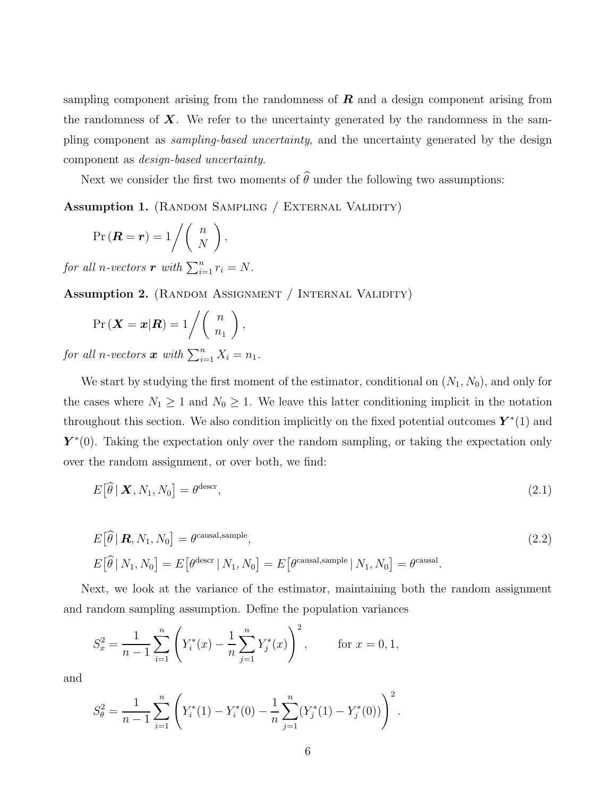sampling component arising from the randomness of  $\bm{R}$  and a design component arising from the randomness of  $\boldsymbol{X}$ . We refer to the uncertainty generated by the randomness in the sampling component as sampling-based uncertainty, and the uncertainty generated by the design component as design-based uncertainty.

Next we consider the first two moments of  $\widehat{\theta}$  under the following two assumptions:

Assumption 1. (RANDOM SAMPLING / EXTERNAL VALIDITY)

$$
\Pr(\boldsymbol{R}=\boldsymbol{r})=1/\left(\begin{array}{c}n\\N\end{array}\right),\,
$$

for all n-vectors **r** with  $\sum_{i=1}^{n} r_i = N$ .

Assumption 2. (RANDOM ASSIGNMENT / INTERNAL VALIDITY)

$$
\Pr\left(\mathbf{X}=\mathbf{x}|\mathbf{R}\right)=1/\left(\begin{array}{c}n\\n_1\end{array}\right),\,
$$

for all n-vectors  $\boldsymbol{x}$  with  $\sum_{i=1}^{n} X_i = n_1$ .

We start by studying the first moment of the estimator, conditional on  $(N_1, N_0)$ , and only for the cases where  $N_1 \geq 1$  and  $N_0 \geq 1$ . We leave this latter conditioning implicit in the notation throughout this section. We also condition implicitly on the fixed potential outcomes  $\mathbf{Y}^*(1)$  and  $\mathbf{Y}^*(0)$ . Taking the expectation only over the random sampling, or taking the expectation only over the random assignment, or over both, we find:

$$
E\left[\widehat{\theta}\,|\,\mathbf{X},N_1,N_0\right] = \theta^{\text{desc}},\tag{2.1}
$$

$$
E[\widehat{\theta} | \mathbf{R}, N_1, N_0] = \theta^{\text{causal,sample}},
$$
  
\n
$$
E[\widehat{\theta} | N_1, N_0] = E[\theta^{\text{desc}} | N_1, N_0] = E[\theta^{\text{causal,sample}} | N_1, N_0] = \theta^{\text{causal}}.
$$
\n(2.2)

Next, we look at the variance of the estimator, maintaining both the random assignment and random sampling assumption. Define the population variances

$$
S_x^2 = \frac{1}{n-1} \sum_{i=1}^n \left( Y_i^*(x) - \frac{1}{n} \sum_{j=1}^n Y_j^*(x) \right)^2, \quad \text{for } x = 0, 1,
$$

and

$$
S_{\theta}^{2} = \frac{1}{n-1} \sum_{i=1}^{n} \left( Y_{i}^{*}(1) - Y_{i}^{*}(0) - \frac{1}{n} \sum_{j=1}^{n} (Y_{j}^{*}(1) - Y_{j}^{*}(0)) \right)^{2}.
$$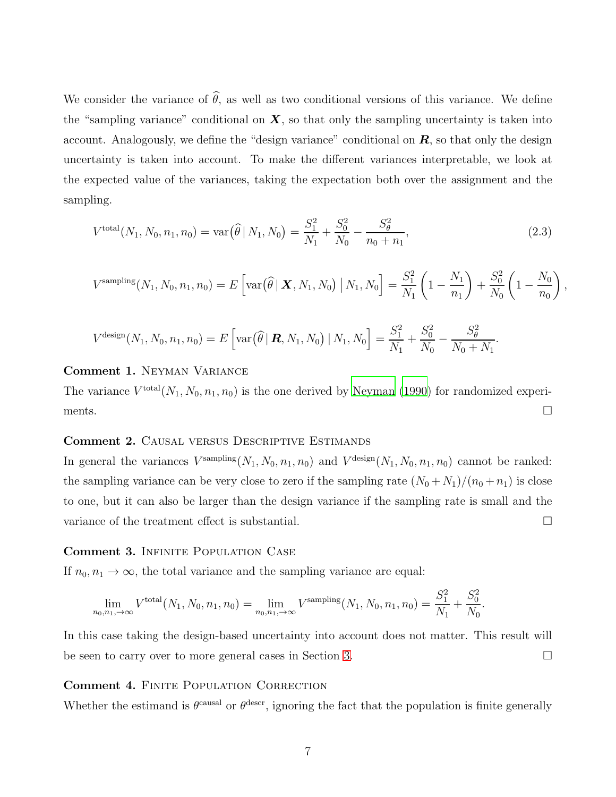We consider the variance of  $\hat{\theta}$ , as well as two conditional versions of this variance. We define the "sampling variance" conditional on  $X$ , so that only the sampling uncertainty is taken into account. Analogously, we define the "design variance" conditional on  $R$ , so that only the design uncertainty is taken into account. To make the different variances interpretable, we look at the expected value of the variances, taking the expectation both over the assignment and the sampling.

<span id="page-7-0"></span>
$$
V^{\text{total}}(N_1, N_0, n_1, n_0) = \text{var}(\widehat{\theta} \mid N_1, N_0) = \frac{S_1^2}{N_1} + \frac{S_0^2}{N_0} - \frac{S_\theta^2}{n_0 + n_1},\tag{2.3}
$$

$$
V^{\text{sampling}}(N_1, N_0, n_1, n_0) = E\left[\text{var}(\widehat{\theta} \mid \mathbf{X}, N_1, N_0) \mid N_1, N_0\right] = \frac{S_1^2}{N_1} \left(1 - \frac{N_1}{n_1}\right) + \frac{S_0^2}{N_0} \left(1 - \frac{N_0}{n_0}\right),
$$

$$
V^{\text{design}}(N_1, N_0, n_1, n_0) = E\left[\text{var}(\widehat{\theta} \mid \mathbf{R}, N_1, N_0) \mid N_1, N_0\right] = \frac{S_1^2}{N_1} + \frac{S_0^2}{N_0} - \frac{S_0^2}{N_0 + N_1}.
$$

#### Comment 1. Neyman Variance

The variance  $V^{\text{total}}(N_1, N_0, n_1, n_0)$  is the one derived by [Neyman \(1990\)](#page-37-1) for randomized experiments.  $\Box$ 

#### Comment 2. Causal versus Descriptive Estimands

In general the variances  $V^{\text{sampling}}(N_1, N_0, n_1, n_0)$  and  $V^{\text{design}}(N_1, N_0, n_1, n_0)$  cannot be ranked: the sampling variance can be very close to zero if the sampling rate  $(N_0 + N_1)/(n_0 + n_1)$  is close to one, but it can also be larger than the design variance if the sampling rate is small and the variance of the treatment effect is substantial.

#### Comment 3. Infinite Population Case

If  $n_0, n_1 \to \infty$ , the total variance and the sampling variance are equal:

$$
\lim_{n_0, n_1, \to \infty} V^{\text{total}}(N_1, N_0, n_1, n_0) = \lim_{n_0, n_1, \to \infty} V^{\text{sampling}}(N_1, N_0, n_1, n_0) = \frac{S_1^2}{N_1} + \frac{S_0^2}{N_0}.
$$

In this case taking the design-based uncertainty into account does not matter. This result will be seen to carry over to more general cases in Section [3.](#page-9-0)

#### Comment 4. Finite Population Correction

Whether the estimand is  $\theta^{\text{causal}}$  or  $\theta^{\text{descr}}$ , ignoring the fact that the population is finite generally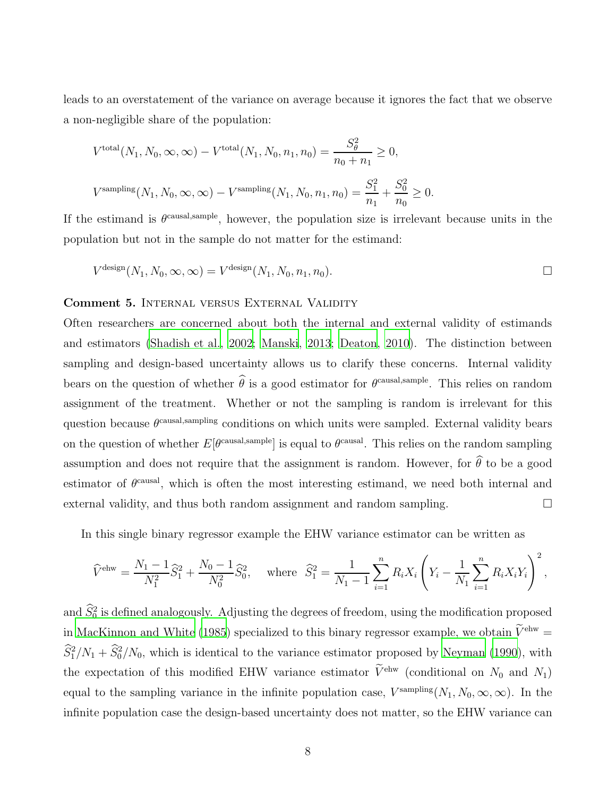leads to an overstatement of the variance on average because it ignores the fact that we observe a non-negligible share of the population:

$$
V^{\text{total}}(N_1, N_0, \infty, \infty) - V^{\text{total}}(N_1, N_0, n_1, n_0) = \frac{S_\theta^2}{n_0 + n_1} \ge 0,
$$
  

$$
V^{\text{sampling}}(N_1, N_0, \infty, \infty) - V^{\text{sampling}}(N_1, N_0, n_1, n_0) = \frac{S_1^2}{n_1} + \frac{S_0^2}{n_0} \ge 0.
$$

If the estimand is  $\theta^{\text{causal,sample}}$ , however, the population size is irrelevant because units in the population but not in the sample do not matter for the estimand:

$$
V^{\text{design}}(N_1, N_0, \infty, \infty) = V^{\text{design}}(N_1, N_0, n_1, n_0).
$$

#### Comment 5. Internal versus External Validity

Often researchers are concerned about both the internal and external validity of estimands and estimators [\(Shadish et al.](#page-37-8), [2002](#page-37-8); [Manski](#page-37-9), [2013](#page-37-9); [Deaton, 2010\)](#page-36-4). The distinction between sampling and design-based uncertainty allows us to clarify these concerns. Internal validity bears on the question of whether  $\theta$  is a good estimator for  $\theta^{\text{causal,sample}}$ . This relies on random assignment of the treatment. Whether or not the sampling is random is irrelevant for this question because  $\theta^{\text{causal,sampling}}$  conditions on which units were sampled. External validity bears on the question of whether  $E[\theta^{\text{causal,sample}}]$  is equal to  $\theta^{\text{causal}}$ . This relies on the random sampling assumption and does not require that the assignment is random. However, for  $\hat{\theta}$  to be a good estimator of  $\theta^{\text{causal}}$ , which is often the most interesting estimand, we need both internal and external validity, and thus both random assignment and random sampling.

In this single binary regressor example the EHW variance estimator can be written as

$$
\widehat{V}^{\text{ehw}} = \frac{N_1 - 1}{N_1^2} \widehat{S}_1^2 + \frac{N_0 - 1}{N_0^2} \widehat{S}_0^2, \quad \text{where } \widehat{S}_1^2 = \frac{1}{N_1 - 1} \sum_{i=1}^n R_i X_i \left( Y_i - \frac{1}{N_1} \sum_{i=1}^n R_i X_i Y_i \right)^2,
$$

and  $\hat{S}_0^2$  is defined analogously. Adjusting the degrees of freedom, using the modification proposed in [MacKinnon and White \(1985\)](#page-37-13) specialized to this binary regressor example, we obtain  $\widetilde{V}^{\text{ehw}} =$  $S_1^2/N_1 + S_0^2/N_0$ , which is identical to the variance estimator proposed by [Neyman \(1990\)](#page-37-1), with the expectation of this modified EHW variance estimator  $\widetilde{V}^{\text{ehw}}$  (conditional on  $N_0$  and  $N_1$ ) equal to the sampling variance in the infinite population case,  $V^{\text{sampling}}(N_1, N_0, \infty, \infty)$ . In the infinite population case the design-based uncertainty does not matter, so the EHW variance can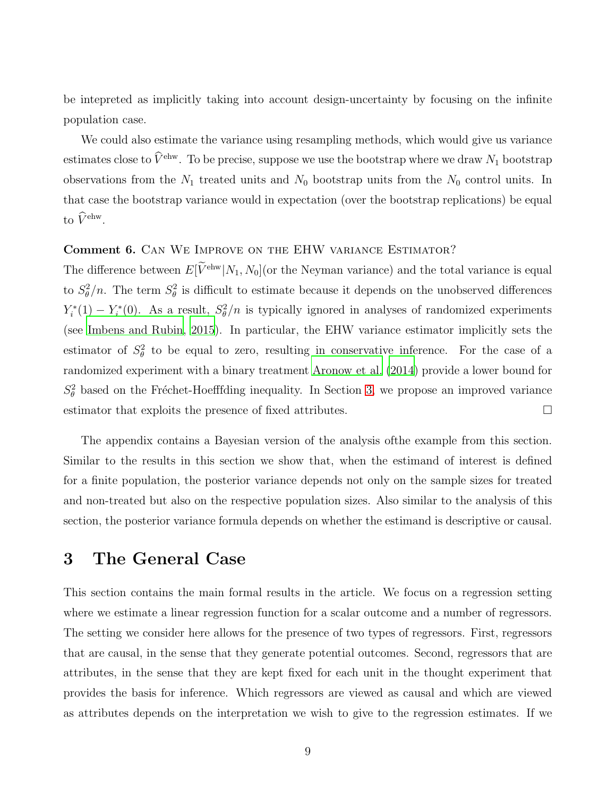be intepreted as implicitly taking into account design-uncertainty by focusing on the infinite population case.

We could also estimate the variance using resampling methods, which would give us variance estimates close to  $\widehat{V}^{\text{ehw}}$ . To be precise, suppose we use the bootstrap where we draw  $N_1$  bootstrap observations from the  $N_1$  treated units and  $N_0$  bootstrap units from the  $N_0$  control units. In that case the bootstrap variance would in expectation (over the bootstrap replications) be equal to  $\widehat{V}^{\text{ehw}}$ .

#### Comment 6. Can We Improve on the EHW variance Estimator?

The difference between  $E[\widetilde{V}^{\text{ehw}}|N_1, N_0]$  (or the Neyman variance) and the total variance is equal to  $S_{\theta}^2/n$ . The term  $S_{\theta}^2$  is difficult to estimate because it depends on the unobserved differences  $Y_i^*$  $i^*(1) - Y_i^*$ <sup>\*\*</sup>(0). As a result,  $S_{\theta}^2/n$  is typically ignored in analyses of randomized experiments (see [Imbens and Rubin](#page-36-0), [2015](#page-36-0)). In particular, the EHW variance estimator implicitly sets the estimator of  $S_{\theta}^2$  to be equal to zero, resulting in conservative inference. For the case of a randomized experiment with a binary treatment [Aronow et al. \(2014\)](#page-36-7) provide a lower bound for  $S_{\theta}^2$  based on the Fréchet-Hoefffding inequality. In Section [3,](#page-9-0) we propose an improved variance estimator that exploits the presence of fixed attributes.

The appendix contains a Bayesian version of the analysis ofthe example from this section. Similar to the results in this section we show that, when the estimand of interest is defined for a finite population, the posterior variance depends not only on the sample sizes for treated and non-treated but also on the respective population sizes. Also similar to the analysis of this section, the posterior variance formula depends on whether the estimand is descriptive or causal.

### <span id="page-9-0"></span>3 The General Case

This section contains the main formal results in the article. We focus on a regression setting where we estimate a linear regression function for a scalar outcome and a number of regressors. The setting we consider here allows for the presence of two types of regressors. First, regressors that are causal, in the sense that they generate potential outcomes. Second, regressors that are attributes, in the sense that they are kept fixed for each unit in the thought experiment that provides the basis for inference. Which regressors are viewed as causal and which are viewed as attributes depends on the interpretation we wish to give to the regression estimates. If we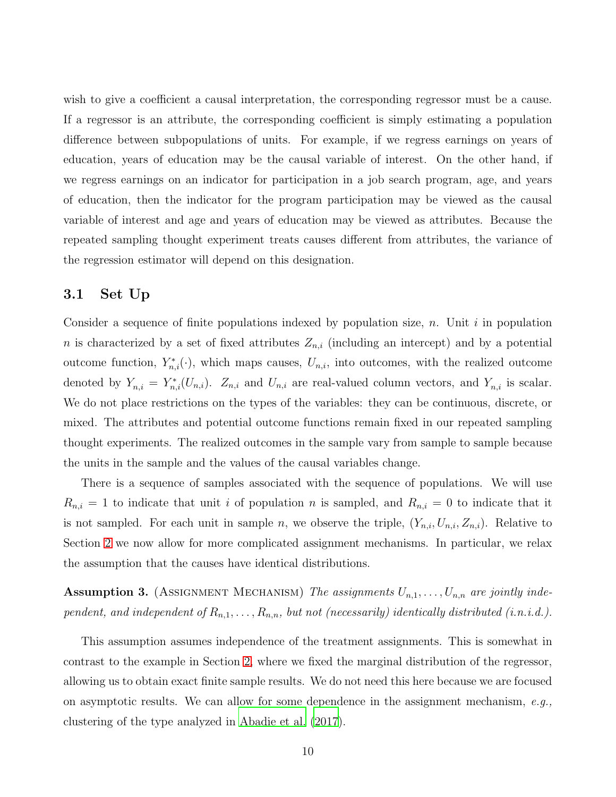wish to give a coefficient a causal interpretation, the corresponding regressor must be a cause. If a regressor is an attribute, the corresponding coefficient is simply estimating a population difference between subpopulations of units. For example, if we regress earnings on years of education, years of education may be the causal variable of interest. On the other hand, if we regress earnings on an indicator for participation in a job search program, age, and years of education, then the indicator for the program participation may be viewed as the causal variable of interest and age and years of education may be viewed as attributes. Because the repeated sampling thought experiment treats causes different from attributes, the variance of the regression estimator will depend on this designation.

### 3.1 Set Up

Consider a sequence of finite populations indexed by population size, n. Unit i in population n is characterized by a set of fixed attributes  $Z_{n,i}$  (including an intercept) and by a potential outcome function,  $Y_{n,i}^*(\cdot)$ , which maps causes,  $U_{n,i}$ , into outcomes, with the realized outcome denoted by  $Y_{n,i} = Y_{n,i}^*(U_{n,i})$ .  $Z_{n,i}$  and  $U_{n,i}$  are real-valued column vectors, and  $Y_{n,i}$  is scalar. We do not place restrictions on the types of the variables: they can be continuous, discrete, or mixed. The attributes and potential outcome functions remain fixed in our repeated sampling thought experiments. The realized outcomes in the sample vary from sample to sample because the units in the sample and the values of the causal variables change.

There is a sequence of samples associated with the sequence of populations. We will use  $R_{n,i} = 1$  to indicate that unit i of population n is sampled, and  $R_{n,i} = 0$  to indicate that it is not sampled. For each unit in sample n, we observe the triple,  $(Y_{n,i}, U_{n,i}, Z_{n,i})$ . Relative to Section [2](#page-4-0) we now allow for more complicated assignment mechanisms. In particular, we relax the assumption that the causes have identical distributions.

<span id="page-10-0"></span>**Assumption 3.** (ASSIGNMENT MECHANISM) The assignments  $U_{n,1}, \ldots, U_{n,n}$  are jointly independent, and independent of  $R_{n,1}, \ldots, R_{n,n}$ , but not (necessarily) identically distributed (i.n.i.d.).

This assumption assumes independence of the treatment assignments. This is somewhat in contrast to the example in Section [2,](#page-4-0) where we fixed the marginal distribution of the regressor, allowing us to obtain exact finite sample results. We do not need this here because we are focused on asymptotic results. We can allow for some dependence in the assignment mechanism,  $e.g.,$ clustering of the type analyzed in [Abadie et al. \(2017](#page-35-1)).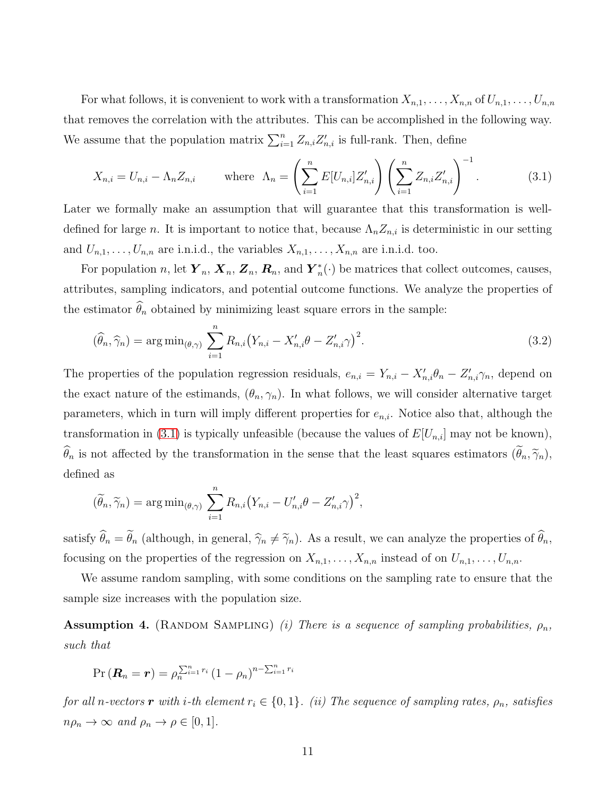For what follows, it is convenient to work with a transformation  $X_{n,1}, \ldots, X_{n,n}$  of  $U_{n,1}, \ldots, U_{n,n}$ that removes the correlation with the attributes. This can be accomplished in the following way. We assume that the population matrix  $\sum_{i=1}^{n} Z_{n,i} Z'_{n,i}$  is full-rank. Then, define

<span id="page-11-0"></span>
$$
X_{n,i} = U_{n,i} - \Lambda_n Z_{n,i} \qquad \text{where } \Lambda_n = \left(\sum_{i=1}^n E[U_{n,i}] Z'_{n,i}\right) \left(\sum_{i=1}^n Z_{n,i} Z'_{n,i}\right)^{-1}.
$$
 (3.1)

Later we formally make an assumption that will guarantee that this transformation is welldefined for large n. It is important to notice that, because  $\Lambda_n Z_{n,i}$  is deterministic in our setting and  $U_{n,1}, \ldots, U_{n,n}$  are i.n.i.d., the variables  $X_{n,1}, \ldots, X_{n,n}$  are i.n.i.d. too.

For population n, let  $\boldsymbol{Y}_n$ ,  $\boldsymbol{X}_n$ ,  $\boldsymbol{Z}_n$ ,  $\boldsymbol{R}_n$ , and  $\boldsymbol{Y}_n^*$  $_n^*(\cdot)$  be matrices that collect outcomes, causes, attributes, sampling indicators, and potential outcome functions. We analyze the properties of the estimator  $\widehat{\theta}_n$  obtained by minimizing least square errors in the sample:

<span id="page-11-2"></span>
$$
(\widehat{\theta}_n, \widehat{\gamma}_n) = \arg\min_{(\theta, \gamma)} \sum_{i=1}^n R_{n,i} (Y_{n,i} - X'_{n,i} \theta - Z'_{n,i} \gamma)^2.
$$
 (3.2)

The properties of the population regression residuals,  $e_{n,i} = Y_{n,i} - X'_{n,i} \theta_n - Z'_{n,i} \gamma_n$ , depend on the exact nature of the estimands,  $(\theta_n, \gamma_n)$ . In what follows, we will consider alternative target parameters, which in turn will imply different properties for  $e_{n,i}$ . Notice also that, although the transformation in [\(3.1\)](#page-11-0) is typically unfeasible (because the values of  $E[U_{n,i}]$  may not be known),  $\widehat{\theta}_n$  is not affected by the transformation in the sense that the least squares estimators  $(\widetilde{\theta}_n, \widetilde{\gamma}_n)$ , defined as

$$
(\widetilde{\theta}_n, \widetilde{\gamma}_n) = \arg \min_{(\theta, \gamma)} \sum_{i=1}^n R_{n,i} (Y_{n,i} - U'_{n,i} \theta - Z'_{n,i} \gamma)^2,
$$

satisfy  $\theta_n = \theta_n$  (although, in general,  $\hat{\gamma}_n \neq \tilde{\gamma}_n$ ). As a result, we can analyze the properties of  $\theta_n$ , focusing on the properties of the regression on  $X_{n,1}, \ldots, X_{n,n}$  instead of on  $U_{n,1}, \ldots, U_{n,n}$ .

We assume random sampling, with some conditions on the sampling rate to ensure that the sample size increases with the population size.

<span id="page-11-1"></span>**Assumption 4.** (RANDOM SAMPLING) *(i) There is a sequence of sampling probabilities,*  $\rho_n$ , such that

$$
\Pr\left(\boldsymbol{R}_n=\boldsymbol{r}\right)=\rho_n^{\sum_{i=1}^n r_i}\left(1-\rho_n\right)^{n-\sum_{i=1}^n r_i}
$$

for all n-vectors r with i-th element  $r_i \in \{0, 1\}$ . (ii) The sequence of sampling rates,  $\rho_n$ , satisfies  $n\rho_n \to \infty$  and  $\rho_n \to \rho \in [0,1].$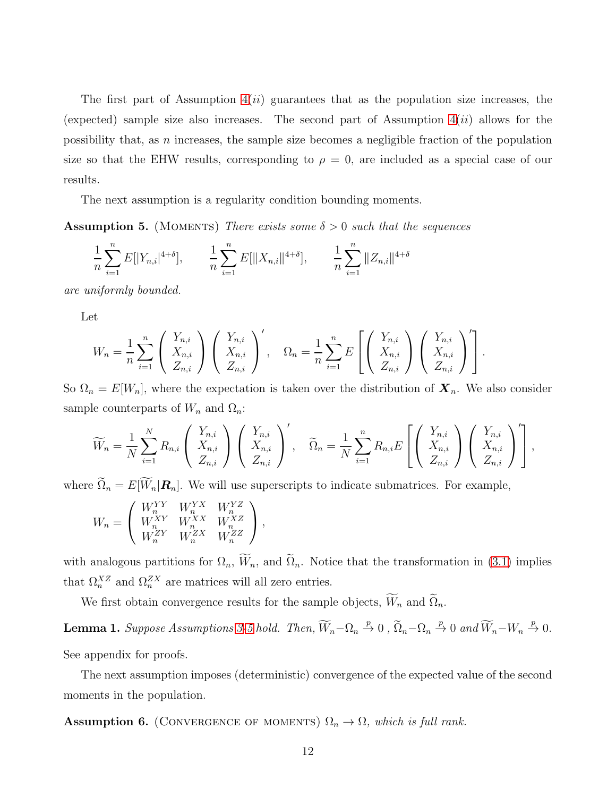The first part of Assumption  $4(ii)$  guarantees that as the population size increases, the (expected) sample size also increases. The second part of Assumption  $4(ii)$  allows for the possibility that, as n increases, the sample size becomes a negligible fraction of the population size so that the EHW results, corresponding to  $\rho = 0$ , are included as a special case of our results.

The next assumption is a regularity condition bounding moments.

<span id="page-12-0"></span>**Assumption 5.** (MOMENTS) There exists some  $\delta > 0$  such that the sequences

$$
\frac{1}{n}\sum_{i=1}^{n} E[|Y_{n,i}|^{4+\delta}], \qquad \frac{1}{n}\sum_{i=1}^{n} E[||X_{n,i}||^{4+\delta}], \qquad \frac{1}{n}\sum_{i=1}^{n} ||Z_{n,i}||^{4+\delta}
$$

are uniformly bounded.

Let

$$
W_n = \frac{1}{n} \sum_{i=1}^n \begin{pmatrix} Y_{n,i} \\ X_{n,i} \\ Z_{n,i} \end{pmatrix} \begin{pmatrix} Y_{n,i} \\ X_{n,i} \\ Z_{n,i} \end{pmatrix}', \quad \Omega_n = \frac{1}{n} \sum_{i=1}^n E\left[ \begin{pmatrix} Y_{n,i} \\ X_{n,i} \\ Z_{n,i} \end{pmatrix} \begin{pmatrix} Y_{n,i} \\ X_{n,i} \\ Z_{n,i} \end{pmatrix}' \right].
$$

So  $\Omega_n = E[W_n]$ , where the expectation is taken over the distribution of  $\mathbf{X}_n$ . We also consider sample counterparts of  $W_n$  and  $\Omega_n$ :

$$
\widetilde{W}_n = \frac{1}{N} \sum_{i=1}^N R_{n,i} \left( \begin{array}{c} Y_{n,i} \\ X_{n,i} \\ Z_{n,i} \end{array} \right) \left( \begin{array}{c} Y_{n,i} \\ X_{n,i} \\ Z_{n,i} \end{array} \right)', \quad \widetilde{\Omega}_n = \frac{1}{N} \sum_{i=1}^n R_{n,i} E\left[ \left( \begin{array}{c} Y_{n,i} \\ X_{n,i} \\ Z_{n,i} \end{array} \right) \left( \begin{array}{c} Y_{n,i} \\ X_{n,i} \\ Z_{n,i} \end{array} \right)' \right],
$$

where  $\widetilde{\Omega}_n = E[\widetilde{W}_n | \mathbf{R}_n].$  We will use superscripts to indicate submatrices. For example,

$$
W_n = \left( \begin{array}{ccc} W_n^{YY} & W_n^{YX} & W_n^{YZ} \\ W_n^{XY} & W_n^{XX} & W_n^{XZ} \\ W_n^{ZY} & W_n^{ZX} & W_n^{ZZ} \end{array} \right),
$$

with analogous partitions for  $\Omega_n$ ,  $\widetilde{W}_n$ , and  $\widetilde{\Omega}_n$ . Notice that the transformation in [\(3.1\)](#page-11-0) implies that  $\Omega_n^{XZ}$  and  $\Omega_n^{ZX}$  are matrices will all zero entries.

We first obtain convergence results for the sample objects,  $\widetilde{W}_n$  and  $\widetilde{\Omega}_n$ .

**Lemma 1.** Suppose Assumptions [3](#page-10-0)[-5](#page-12-0) hold. Then,  $\widetilde{W}_n - \Omega_n \overset{p}{\to} 0$ ,  $\widetilde{\Omega}_n - \Omega_n \overset{p}{\to} 0$  and  $\widetilde{W}_n - W_n \overset{p}{\to} 0$ .

See appendix for proofs.

The next assumption imposes (deterministic) convergence of the expected value of the second moments in the population.

<span id="page-12-1"></span>**Assumption 6.** (CONVERGENCE OF MOMENTS)  $\Omega_n \to \Omega$ , which is full rank.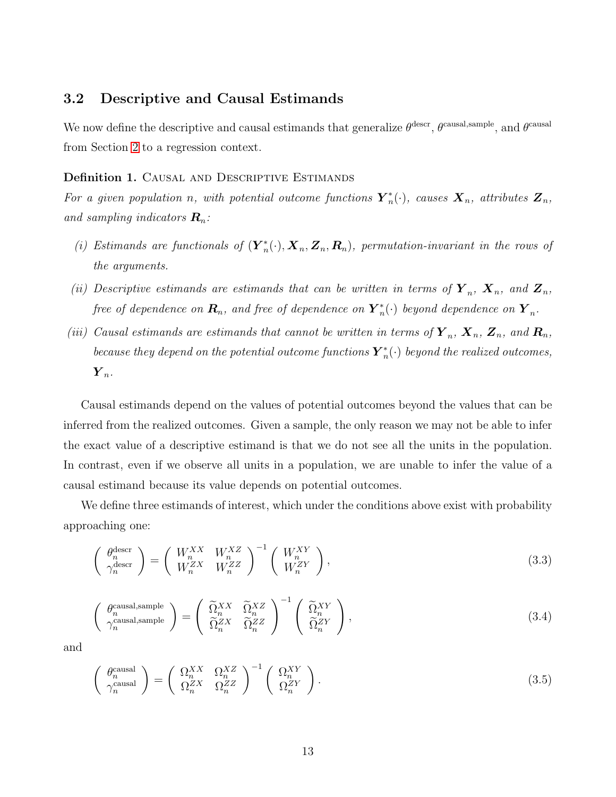### <span id="page-13-2"></span>3.2 Descriptive and Causal Estimands

We now define the descriptive and causal estimands that generalize  $\theta^{\text{descr}}, \theta^{\text{causal,sample}},$  and  $\theta^{\text{causal}}$ from Section [2](#page-4-0) to a regression context.

#### Definition 1. CAUSAL AND DESCRIPTIVE ESTIMANDS

For a given population n, with potential outcome functions  $\boldsymbol{Y}_n^*$  $\mathbf{X}_n^*(\cdot)$ , causes  $\mathbf{X}_n$ , attributes  $\mathbf{Z}_n$ , and sampling indicators  $\mathbf{R}_n$ :

- (i) Estimands are functionals of  $(\mathbf{Y}_n^*)$  $\mathbf{X}_n^*(\cdot), \mathbf{X}_n, \mathbf{Z}_n, \mathbf{R}_n$ , permutation-invariant in the rows of the arguments.
- (ii) Descriptive estimands are estimands that can be written in terms of  $\mathbf{Y}_n$ ,  $\mathbf{X}_n$ , and  $\mathbf{Z}_n$ , free of dependence on  $\boldsymbol{R}_n$ , and free of dependence on  $\boldsymbol{Y}^*_n$  $\mathbf{F}_n^*(\cdot)$  beyond dependence on  $\boldsymbol{Y}_n$ .
- (iii) Causal estimands are estimands that cannot be written in terms of  $\boldsymbol{Y}_n$ ,  $\boldsymbol{X}_n$ ,  $\boldsymbol{Z}_n$ , and  $\boldsymbol{R}_n$ , because they depend on the potential outcome functions  $\boldsymbol{Y}_n^*$  $_n^*(\cdot)$  beyond the realized outcomes,  $\boldsymbol{Y}_n.$

Causal estimands depend on the values of potential outcomes beyond the values that can be inferred from the realized outcomes. Given a sample, the only reason we may not be able to infer the exact value of a descriptive estimand is that we do not see all the units in the population. In contrast, even if we observe all units in a population, we are unable to infer the value of a causal estimand because its value depends on potential outcomes.

We define three estimands of interest, which under the conditions above exist with probability approaching one:

<span id="page-13-0"></span>
$$
\begin{pmatrix}\n\theta_n^{\text{desc}} \\
\gamma_n^{\text{desc}}\n\end{pmatrix} = \begin{pmatrix}\nW_n^{XX} & W_n^{XZ} \\
W_n^{ZX} & W_n^{ZZ}\n\end{pmatrix}^{-1} \begin{pmatrix}\nW_n^{XY} \\
W_n^{ZY}\n\end{pmatrix},
$$
\n(3.3)

$$
\begin{pmatrix}\n\theta_n^{\text{causal,sample}} \\
\gamma_n^{\text{causal,sample}}\n\end{pmatrix} = \begin{pmatrix}\n\widetilde{\Omega}_n^{XX} & \widetilde{\Omega}_n^{XZ} \\
\widetilde{\Omega}_n^{ZX} & \widetilde{\Omega}_n^{ZZ}\n\end{pmatrix}^{-1} \begin{pmatrix}\n\widetilde{\Omega}_n^{XY} \\
\widetilde{\Omega}_n^{ZY}\n\end{pmatrix},
$$
\n(3.4)

<span id="page-13-1"></span>and

$$
\begin{pmatrix}\n\theta_n^{\text{causal}} \\
\gamma_n^{\text{causal}}\n\end{pmatrix} = \begin{pmatrix}\n\Omega_n^{XX} & \Omega_n^{XZ} \\
\Omega_n^{ZX} & \Omega_n^{ZZ}\n\end{pmatrix}^{-1} \begin{pmatrix}\n\Omega_n^{XY} \\
\Omega_n^{ZY}\n\end{pmatrix}.
$$
\n(3.5)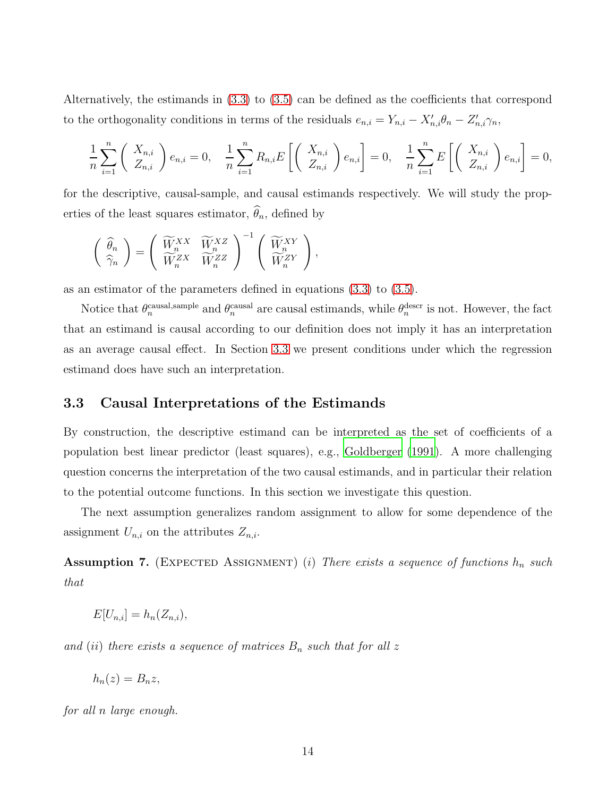Alternatively, the estimands in [\(3.3\)](#page-13-0) to [\(3.5\)](#page-13-1) can be defined as the coefficients that correspond to the orthogonality conditions in terms of the residuals  $e_{n,i} = Y_{n,i} - X'_{n,i} \theta_n - Z'_{n,i} \gamma_n$ ,

$$
\frac{1}{n}\sum_{i=1}^{n} \left( \begin{array}{c} X_{n,i} \\ Z_{n,i} \end{array} \right) e_{n,i} = 0, \quad \frac{1}{n}\sum_{i=1}^{n} R_{n,i} E\left[ \left( \begin{array}{c} X_{n,i} \\ Z_{n,i} \end{array} \right) e_{n,i} \right] = 0, \quad \frac{1}{n}\sum_{i=1}^{n} E\left[ \left( \begin{array}{c} X_{n,i} \\ Z_{n,i} \end{array} \right) e_{n,i} \right] = 0,
$$

for the descriptive, causal-sample, and causal estimands respectively. We will study the properties of the least squares estimator,  $\widehat{\theta}_n$ , defined by

$$
\left( \begin{array}{c} \widehat{\theta}_n \\ \widehat{\gamma}_n \end{array} \right) = \left( \begin{array}{cc} \widetilde{W}_n^{XX} & \widetilde{W}_n^{XZ} \\ \widetilde{W}_n^{ZX} & \widetilde{W}_n^{ZZ} \end{array} \right)^{-1} \left( \begin{array}{c} \widetilde{W}_n^{XY} \\ \widetilde{W}_n^{ZY} \end{array} \right),
$$

as an estimator of the parameters defined in equations [\(3.3\)](#page-13-0) to [\(3.5\)](#page-13-1).

Notice that  $\theta_n^{\text{causal,sample}}$  and  $\theta_n^{\text{causal}}$  are causal estimands, while  $\theta_n^{\text{descr}}$  is not. However, the fact that an estimand is causal according to our definition does not imply it has an interpretation as an average causal effect. In Section [3.3](#page-14-0) we present conditions under which the regression estimand does have such an interpretation.

### <span id="page-14-0"></span>3.3 Causal Interpretations of the Estimands

By construction, the descriptive estimand can be interpreted as the set of coefficients of a population best linear predictor (least squares), e.g., [Goldberger \(1991](#page-36-8)). A more challenging question concerns the interpretation of the two causal estimands, and in particular their relation to the potential outcome functions. In this section we investigate this question.

The next assumption generalizes random assignment to allow for some dependence of the assignment  $U_{n,i}$  on the attributes  $Z_{n,i}$ .

<span id="page-14-1"></span>Assumption 7. (EXPECTED ASSIGNMENT) (i) There exists a sequence of functions  $h_n$  such that

$$
E[U_{n,i}] = h_n(Z_{n,i}),
$$

and (ii) there exists a sequence of matrices  $B_n$  such that for all z

$$
h_n(z) = B_n z,
$$

for all n large enough.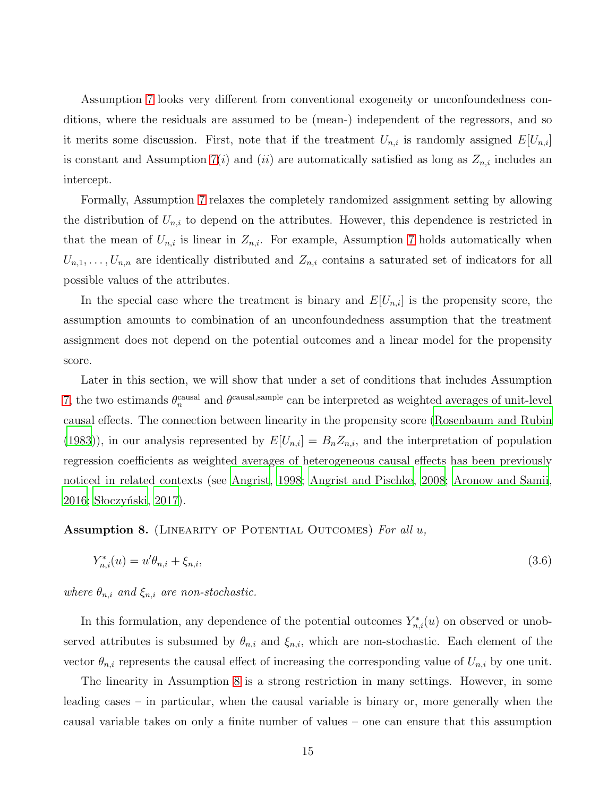Assumption [7](#page-14-1) looks very different from conventional exogeneity or unconfoundedness conditions, where the residuals are assumed to be (mean-) independent of the regressors, and so it merits some discussion. First, note that if the treatment  $U_{n,i}$  is randomly assigned  $E[U_{n,i}]$ is constant and Assumption [7\(](#page-14-1)i) and (ii) are automatically satisfied as long as  $Z_{n,i}$  includes an intercept.

Formally, Assumption [7](#page-14-1) relaxes the completely randomized assignment setting by allowing the distribution of  $U_{n,i}$  to depend on the attributes. However, this dependence is restricted in that the mean of  $U_{n,i}$  is linear in  $Z_{n,i}$ . For example, Assumption [7](#page-14-1) holds automatically when  $U_{n,1},\ldots,U_{n,n}$  are identically distributed and  $Z_{n,i}$  contains a saturated set of indicators for all possible values of the attributes.

In the special case where the treatment is binary and  $E[U_{n,i}]$  is the propensity score, the assumption amounts to combination of an unconfoundedness assumption that the treatment assignment does not depend on the potential outcomes and a linear model for the propensity score.

Later in this section, we will show that under a set of conditions that includes Assumption [7,](#page-14-1) the two estimands  $\theta_n^{\text{causal}}$  and  $\theta^{\text{causal}, \text{sample}}$  can be interpreted as weighted averages of unit-level causal effects. The connection between linearity in the propensity score [\(Rosenbaum and Rubin](#page-37-14) [\(1983\)](#page-37-14)), in our analysis represented by  $E[U_{n,i}] = B_n Z_{n,i}$ , and the interpretation of population regression coefficients as weighted averages of heterogeneous causal effects has been previously noticed in related contexts (see [Angrist](#page-36-9), [1998;](#page-36-9) [Angrist and Pischke, 2008;](#page-35-2) [Aronow and Samii,](#page-36-10) [2016;](#page-36-10) Słoczyński, 2017).

<span id="page-15-0"></span>Assumption 8. (LINEARITY OF POTENTIAL OUTCOMES) For all  $u$ ,

<span id="page-15-1"></span>
$$
Y_{n,i}^*(u) = u'\theta_{n,i} + \xi_{n,i},\tag{3.6}
$$

where  $\theta_{n,i}$  and  $\xi_{n,i}$  are non-stochastic.

In this formulation, any dependence of the potential outcomes  $Y_{n,i}^*(u)$  on observed or unobserved attributes is subsumed by  $\theta_{n,i}$  and  $\xi_{n,i}$ , which are non-stochastic. Each element of the vector  $\theta_{n,i}$  represents the causal effect of increasing the corresponding value of  $U_{n,i}$  by one unit.

The linearity in Assumption [8](#page-15-0) is a strong restriction in many settings. However, in some leading cases – in particular, when the causal variable is binary or, more generally when the causal variable takes on only a finite number of values – one can ensure that this assumption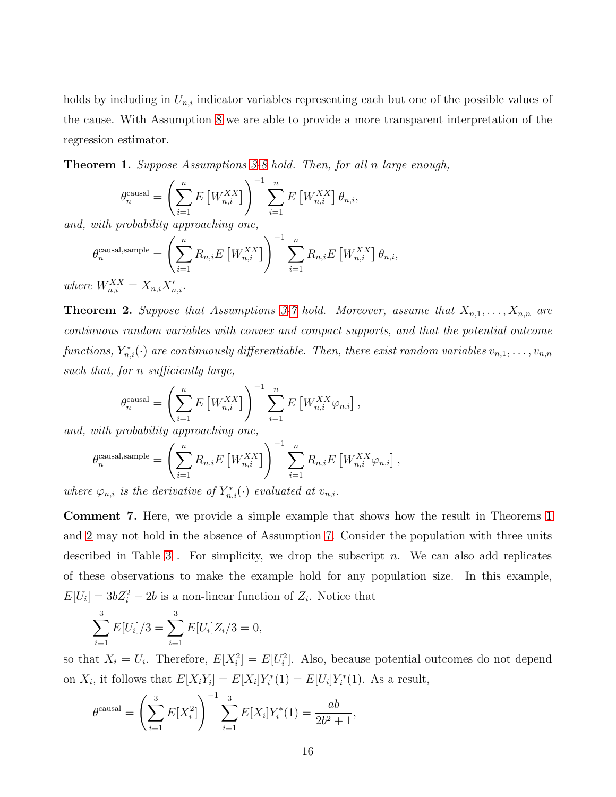holds by including in  $U_{n,i}$  indicator variables representing each but one of the possible values of the cause. With Assumption [8](#page-15-0) we are able to provide a more transparent interpretation of the regression estimator.

<span id="page-16-0"></span>Theorem 1. Suppose Assumptions [3](#page-10-0)[-8](#page-15-0) hold. Then, for all n large enough,

$$
\theta_n^{\text{causal}} = \left(\sum_{i=1}^n E\left[W_{n,i}^{XX}\right]\right)^{-1} \sum_{i=1}^n E\left[W_{n,i}^{XX}\right] \theta_{n,i},
$$
probabilitu ammnoo  
china one

and, with probability approaching one,

$$
\theta_n^{\text{causal,sample}} = \left(\sum_{i=1}^n R_{n,i} E\left[W_{n,i}^{XX}\right]\right)^{-1} \sum_{i=1}^n R_{n,i} E\left[W_{n,i}^{XX}\right] \theta_{n,i},
$$

where  $W_{n,i}^{XX} = X_{n,i} X'_{n,i}$ .

<span id="page-16-1"></span>**Theorem 2.** Suppose that Assumptions [3-](#page-10-0)[7](#page-14-1) hold. Moreover, assume that  $X_{n,1}, \ldots, X_{n,n}$  are continuous random variables with convex and compact supports, and that the potential outcome functions,  $Y_{n,i}^*(\cdot)$  are continuously differentiable. Then, there exist random variables  $v_{n,1},\ldots,v_{n,n}$ such that, for n sufficiently large,

$$
\theta_n^{\text{causal}} = \left(\sum_{i=1}^n E\left[W_{n,i}^{XX}\right]\right)^{-1} \sum_{i=1}^n E\left[W_{n,i}^{XX}\varphi_{n,i}\right],
$$
archokkietu amrochina one

and, with probability approaching one,

$$
\theta_n^{\text{causal,sample}} = \left(\sum_{i=1}^n R_{n,i} E\left[W_{n,i}^{XX}\right]\right)^{-1} \sum_{i=1}^n R_{n,i} E\left[W_{n,i}^{XX} \varphi_{n,i}\right],
$$

where  $\varphi_{n,i}$  is the derivative of  $Y_{n,i}^*(\cdot)$  evaluated at  $v_{n,i}$ .

Comment 7. Here, we provide a simple example that shows how the result in Theorems [1](#page-16-0) and [2](#page-16-1) may not hold in the absence of Assumption [7.](#page-14-1) Consider the population with three units described in Table [3](#page-17-0). For simplicity, we drop the subscript  $n$ . We can also add replicates of these observations to make the example hold for any population size. In this example,  $E[U_i] = 3bZ_i^2 - 2b$  is a non-linear function of  $Z_i$ . Notice that

$$
\sum_{i=1}^{3} E[U_i]/3 = \sum_{i=1}^{3} E[U_i]Z_i/3 = 0,
$$

so that  $X_i = U_i$ . Therefore,  $E[X_i^2] = E[U_i^2]$ . Also, because potential outcomes do not depend on  $X_i$ , it follows that  $E[X_i Y_i] = E[X_i] Y_i^*$  $i^*(1) = E[U_i]Y_i^*$  $\tilde{I}_i^*(1)$ . As a result,

$$
\theta^{\text{causal}} = \left(\sum_{i=1}^{3} E[X_i^2]\right)^{-1} \sum_{i=1}^{3} E[X_i] Y_i^*(1) = \frac{ab}{2b^2 + 1},
$$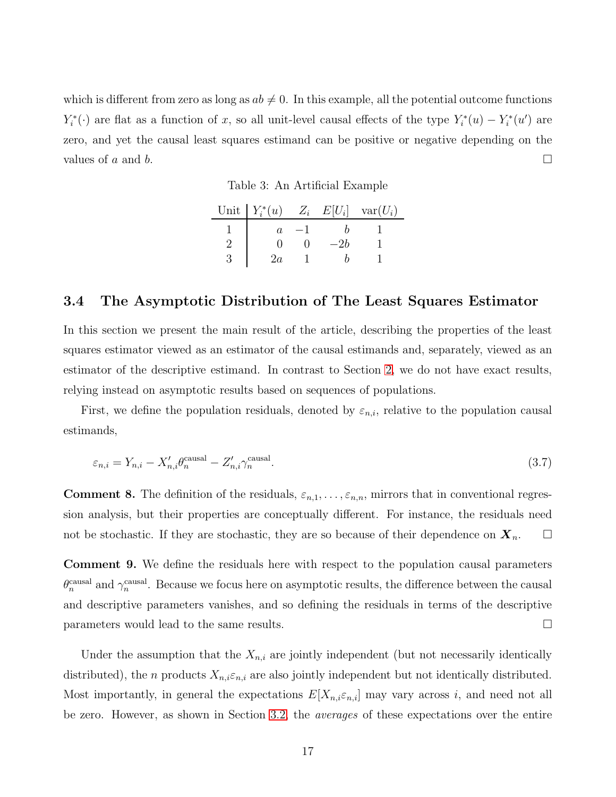<span id="page-17-0"></span>which is different from zero as long as  $ab \neq 0$ . In this example, all the potential outcome functions  $Y_i^*$  $X_i^*(·)$  are flat as a function of x, so all unit-level causal effects of the type  $Y_i^*$  $i^*(u) - Y_i^*$  $\tilde{u}_i^*(u')$  are zero, and yet the causal least squares estimand can be positive or negative depending on the values of a and b.

Table 3: An Artificial Example

| Unit $Y_i^*(u)$ $Z_i$ $E[U_i]$ $var(U_i)$ |     |  |
|-------------------------------------------|-----|--|
|                                           |     |  |
|                                           | —2h |  |
| ZΩ                                        |     |  |

### 3.4 The Asymptotic Distribution of The Least Squares Estimator

In this section we present the main result of the article, describing the properties of the least squares estimator viewed as an estimator of the causal estimands and, separately, viewed as an estimator of the descriptive estimand. In contrast to Section [2,](#page-4-0) we do not have exact results, relying instead on asymptotic results based on sequences of populations.

First, we define the population residuals, denoted by  $\varepsilon_{n,i}$ , relative to the population causal estimands,

<span id="page-17-1"></span>
$$
\varepsilon_{n,i} = Y_{n,i} - X'_{n,i} \theta_n^{\text{causal}} - Z'_{n,i} \gamma_n^{\text{causal}}.\tag{3.7}
$$

**Comment 8.** The definition of the residuals,  $\varepsilon_{n,1}, \ldots, \varepsilon_{n,n}$ , mirrors that in conventional regression analysis, but their properties are conceptually different. For instance, the residuals need not be stochastic. If they are stochastic, they are so because of their dependence on  $X_n$ .  $\Box$ 

Comment 9. We define the residuals here with respect to the population causal parameters  $\theta_n^{\text{causal}}$  and  $\gamma_n^{\text{causal}}$ . Because we focus here on asymptotic results, the difference between the causal and descriptive parameters vanishes, and so defining the residuals in terms of the descriptive parameters would lead to the same results.

Under the assumption that the  $X_{n,i}$  are jointly independent (but not necessarily identically distributed), the *n* products  $X_{n,i} \varepsilon_{n,i}$  are also jointly independent but not identically distributed. Most importantly, in general the expectations  $E[X_{n,i} \varepsilon_{n,i}]$  may vary across i, and need not all be zero. However, as shown in Section [3.2,](#page-13-2) the averages of these expectations over the entire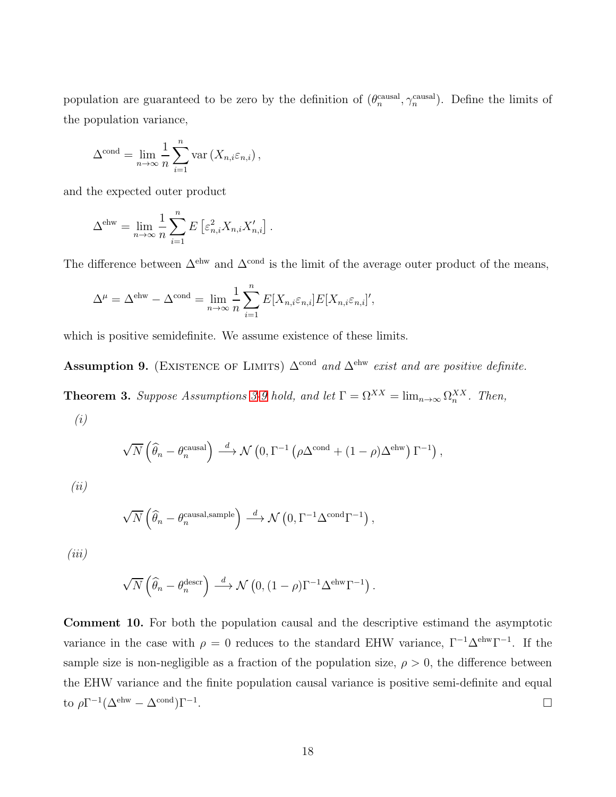population are guaranteed to be zero by the definition of  $(\theta_n^{\text{causal}}, \gamma_n^{\text{causal}})$ . Define the limits of the population variance,

$$
\Delta^{\text{cond}} = \lim_{n \to \infty} \frac{1}{n} \sum_{i=1}^{n} \text{var}(X_{n,i} \varepsilon_{n,i}),
$$

and the expected outer product

$$
\Delta^{\text{ehw}} = \lim_{n \to \infty} \frac{1}{n} \sum_{i=1}^{n} E\left[\varepsilon_{n,i}^2 X_{n,i} X_{n,i}'\right].
$$

The difference between  $\Delta^{\text{ehw}}$  and  $\Delta^{\text{cond}}$  is the limit of the average outer product of the means,

$$
\Delta^{\mu} = \Delta^{\text{ehw}} - \Delta^{\text{cond}} = \lim_{n \to \infty} \frac{1}{n} \sum_{i=1}^{n} E[X_{n,i} \varepsilon_{n,i}] E[X_{n,i} \varepsilon_{n,i}]',
$$

which is positive semidefinite. We assume existence of these limits.

<span id="page-18-0"></span>Assumption 9. (EXISTENCE OF LIMITS)  $\Delta^{\text{cond}}$  and  $\Delta^{\text{ehw}}$  exist and are positive definite.

<span id="page-18-1"></span>**Theorem [3](#page-10-0).** Suppose Assumptions 3[-9](#page-18-0) hold, and let  $\Gamma = \Omega^{XX} = \lim_{n \to \infty} \Omega_n^{XX}$ . Then, (i)

$$
\sqrt{N}\left(\widehat{\theta}_n - \theta_n^{\text{causal}}\right) \stackrel{d}{\longrightarrow} \mathcal{N}\left(0, \Gamma^{-1}\left(\rho \Delta^{\text{cond}} + (1-\rho)\Delta^{\text{ehw}}\right)\Gamma^{-1}\right),\,
$$

(ii)

$$
\sqrt{N}\left(\widehat{\theta}_n - \theta_n^{\text{causal,sample}}\right) \stackrel{d}{\longrightarrow} \mathcal{N}\left(0, \Gamma^{-1}\Delta^{\text{cond}}\Gamma^{-1}\right),
$$

 $(iii)$ 

$$
\sqrt{N}\left(\widehat{\theta}_n - \theta_n^{\text{descr}}\right) \stackrel{d}{\longrightarrow} \mathcal{N}\left(0, (1-\rho)\Gamma^{-1}\Delta^{\text{ehw}}\Gamma^{-1}\right).
$$

Comment 10. For both the population causal and the descriptive estimand the asymptotic variance in the case with  $\rho = 0$  reduces to the standard EHW variance,  $\Gamma^{-1}\Delta^{ehw}\Gamma^{-1}$ . If the sample size is non-negligible as a fraction of the population size,  $\rho > 0$ , the difference between the EHW variance and the finite population causal variance is positive semi-definite and equal to  $\rho \Gamma^{-1} (\Delta^{\text{ehw}} - \Delta^{\text{cond}}) \Gamma^{-1}$ .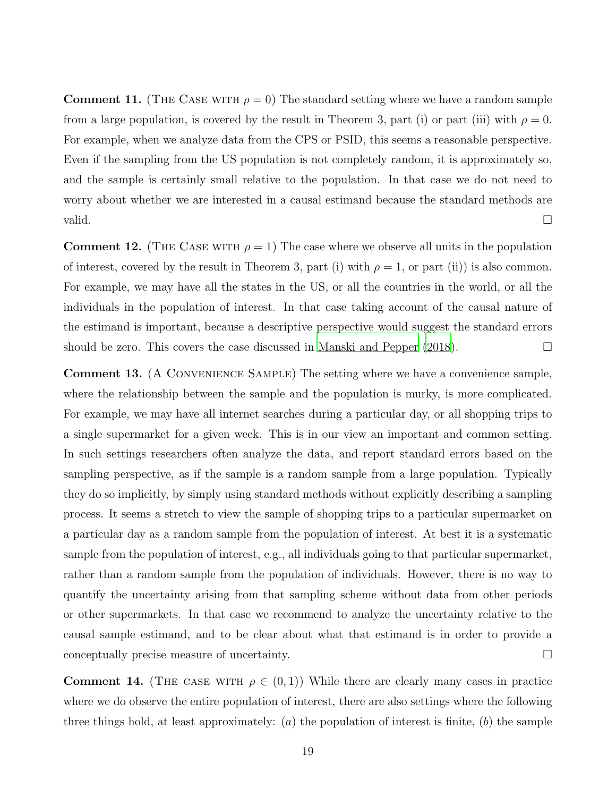**Comment 11.** (THE CASE WITH  $\rho = 0$ ) The standard setting where we have a random sample from a large population, is covered by the result in Theorem 3, part (i) or part (iii) with  $\rho = 0$ . For example, when we analyze data from the CPS or PSID, this seems a reasonable perspective. Even if the sampling from the US population is not completely random, it is approximately so, and the sample is certainly small relative to the population. In that case we do not need to worry about whether we are interested in a causal estimand because the standard methods are valid.  $\Box$ 

**Comment 12.** (THE CASE WITH  $\rho = 1$ ) The case where we observe all units in the population of interest, covered by the result in Theorem 3, part (i) with  $\rho = 1$ , or part (ii)) is also common. For example, we may have all the states in the US, or all the countries in the world, or all the individuals in the population of interest. In that case taking account of the causal nature of the estimand is important, because a descriptive perspective would suggest the standard errors should be zero. This covers the case discussed in Manski and Pepper  $(2018)$ .

Comment 13. (A Convenience Sample) The setting where we have a convenience sample, where the relationship between the sample and the population is murky, is more complicated. For example, we may have all internet searches during a particular day, or all shopping trips to a single supermarket for a given week. This is in our view an important and common setting. In such settings researchers often analyze the data, and report standard errors based on the sampling perspective, as if the sample is a random sample from a large population. Typically they do so implicitly, by simply using standard methods without explicitly describing a sampling process. It seems a stretch to view the sample of shopping trips to a particular supermarket on a particular day as a random sample from the population of interest. At best it is a systematic sample from the population of interest, e.g., all individuals going to that particular supermarket, rather than a random sample from the population of individuals. However, there is no way to quantify the uncertainty arising from that sampling scheme without data from other periods or other supermarkets. In that case we recommend to analyze the uncertainty relative to the causal sample estimand, and to be clear about what that estimand is in order to provide a conceptually precise measure of uncertainty.

**Comment 14.** (THE CASE WITH  $\rho \in (0,1)$ ) While there are clearly many cases in practice where we do observe the entire population of interest, there are also settings where the following three things hold, at least approximately: (a) the population of interest is finite, (b) the sample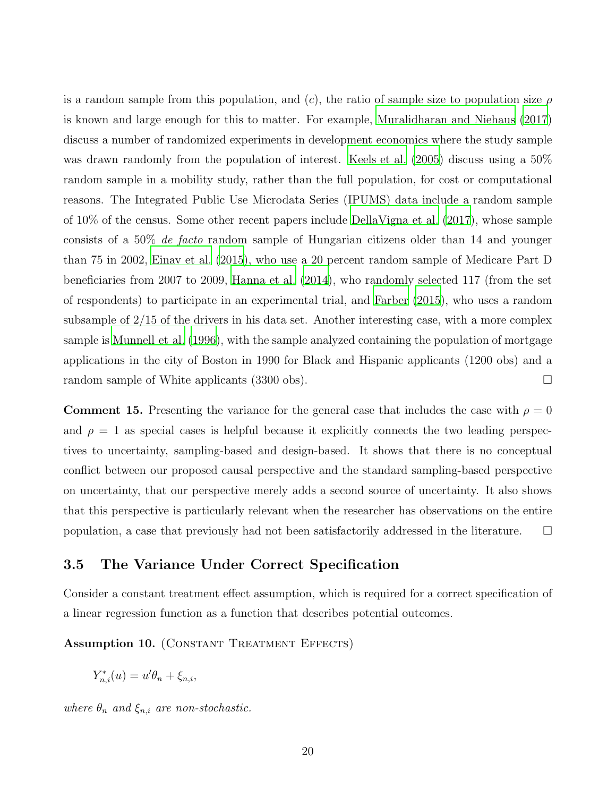is a random sample from this population, and (c), the ratio of sample size to population size  $\rho$ is known and large enough for this to matter. For example, [Muralidharan and Niehaus \(2017\)](#page-37-10) discuss a number of randomized experiments in development economics where the study sample was drawn randomly from the population of interest. [Keels et al. \(2005\)](#page-37-11) discuss using a 50% random sample in a mobility study, rather than the full population, for cost or computational reasons. The Integrated Public Use Microdata Series (IPUMS) data include a random sample of 10% of the census. Some other recent papers include [DellaVigna et al. \(2017\)](#page-36-11), whose sample consists of a 50% de facto random sample of Hungarian citizens older than 14 and younger than 75 in 2002, [Einav et al. \(2015](#page-36-12)), who use a 20 percent random sample of Medicare Part D beneficiaries from 2007 to 2009, [Hanna et al. \(2014](#page-36-13)), who randomly selected 117 (from the set of respondents) to participate in an experimental trial, and [Farber \(2015](#page-36-14)), who uses a random subsample of 2/15 of the drivers in his data set. Another interesting case, with a more complex sample is [Munnell et al. \(1996\)](#page-37-16), with the sample analyzed containing the population of mortgage applications in the city of Boston in 1990 for Black and Hispanic applicants (1200 obs) and a random sample of White applicants (3300 obs).  $\Box$ 

**Comment 15.** Presenting the variance for the general case that includes the case with  $\rho = 0$ and  $\rho = 1$  as special cases is helpful because it explicitly connects the two leading perspectives to uncertainty, sampling-based and design-based. It shows that there is no conceptual conflict between our proposed causal perspective and the standard sampling-based perspective on uncertainty, that our perspective merely adds a second source of uncertainty. It also shows that this perspective is particularly relevant when the researcher has observations on the entire population, a case that previously had not been satisfactorily addressed in the literature.  $\Box$ 

### 3.5 The Variance Under Correct Specification

Consider a constant treatment effect assumption, which is required for a correct specification of a linear regression function as a function that describes potential outcomes.

<span id="page-20-0"></span>Assumption 10. (CONSTANT TREATMENT EFFECTS)

$$
Y_{n,i}^*(u) = u'\theta_n + \xi_{n,i},
$$

where  $\theta_n$  and  $\xi_{n,i}$  are non-stochastic.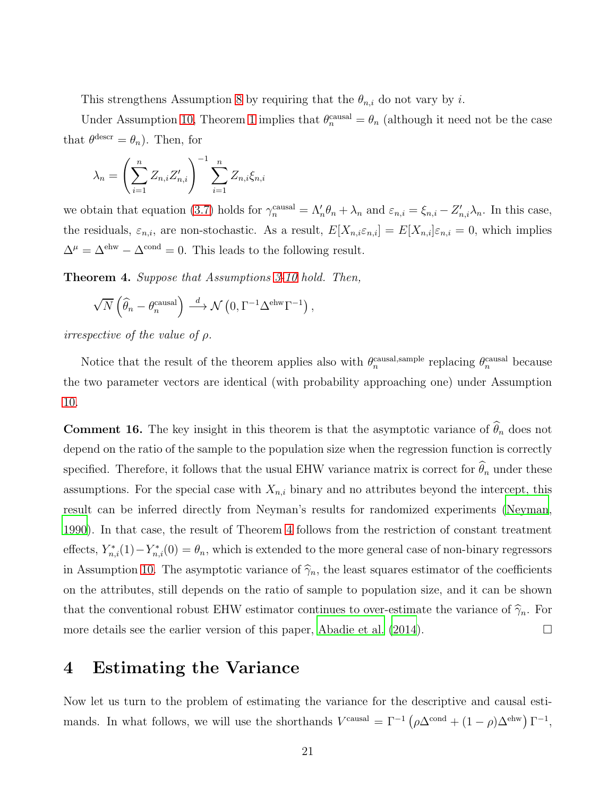This strengthens Assumption [8](#page-15-0) by requiring that the  $\theta_{n,i}$  do not vary by i.

Under Assumption [10,](#page-20-0) Theorem [1](#page-16-0) implies that  $\theta_n^{\text{causal}} = \theta_n$  (although it need not be the case that  $\theta^{\text{descr}} = \theta_n$ ). Then, for

$$
\lambda_n = \left(\sum_{i=1}^n Z_{n,i} Z'_{n,i}\right)^{-1} \sum_{i=1}^n Z_{n,i} \xi_{n,i}
$$

we obtain that equation [\(3.7\)](#page-17-1) holds for  $\gamma_n^{\text{causal}} = \Lambda'_n \theta_n + \lambda_n$  and  $\varepsilon_{n,i} = \xi_{n,i} - Z'_{n,i} \lambda_n$ . In this case, the residuals,  $\varepsilon_{n,i}$ , are non-stochastic. As a result,  $E[X_{n,i}\varepsilon_{n,i}] = E[X_{n,i}]\varepsilon_{n,i} = 0$ , which implies  $\Delta^{\mu} = \Delta^{\text{ehw}} - \Delta^{\text{cond}} = 0$ . This leads to the following result.

<span id="page-21-0"></span>Theorem 4. Suppose that Assumptions [3-](#page-10-0)[10](#page-20-0) hold. Then,

$$
\sqrt{N}\left(\widehat{\theta}_n - \theta_n^{\text{causal}}\right) \stackrel{d}{\longrightarrow} \mathcal{N}\left(0, \Gamma^{-1}\Delta^{\text{ehw}}\Gamma^{-1}\right),\,
$$

*irrespective of the value of*  $\rho$ *.* 

Notice that the result of the theorem applies also with  $\theta_n^{\text{causal,sample}}$  replacing  $\theta_n^{\text{causal}}$  because the two parameter vectors are identical (with probability approaching one) under Assumption [10.](#page-20-0)

**Comment 16.** The key insight in this theorem is that the asymptotic variance of  $\widehat{\theta}_n$  does not depend on the ratio of the sample to the population size when the regression function is correctly specified. Therefore, it follows that the usual EHW variance matrix is correct for  $\hat{\theta}_n$  under these assumptions. For the special case with  $X_{n,i}$  binary and no attributes beyond the intercept, this result can be inferred directly from Neyman's results for randomized experiments [\(Neyman,](#page-37-1) [1990\)](#page-37-1). In that case, the result of Theorem [4](#page-21-0) follows from the restriction of constant treatment effects,  $Y_{n,i}^*(1) - Y_{n,i}^*(0) = \theta_n$ , which is extended to the more general case of non-binary regressors in Assumption [10.](#page-20-0) The asymptotic variance of  $\hat{\gamma}_n$ , the least squares estimator of the coefficients on the attributes, still depends on the ratio of sample to population size, and it can be shown that the conventional robust EHW estimator continues to over-estimate the variance of  $\hat{\gamma}_n$ . For more details see the earlier version of this paper, Abadie et al.  $(2014)$ .

# <span id="page-21-1"></span>4 Estimating the Variance

Now let us turn to the problem of estimating the variance for the descriptive and causal estimands. In what follows, we will use the shorthands  $V^{\text{causal}} = \Gamma^{-1} (\rho \Delta^{\text{cond}} + (1 - \rho) \Delta^{\text{ehw}}) \Gamma^{-1}$ ,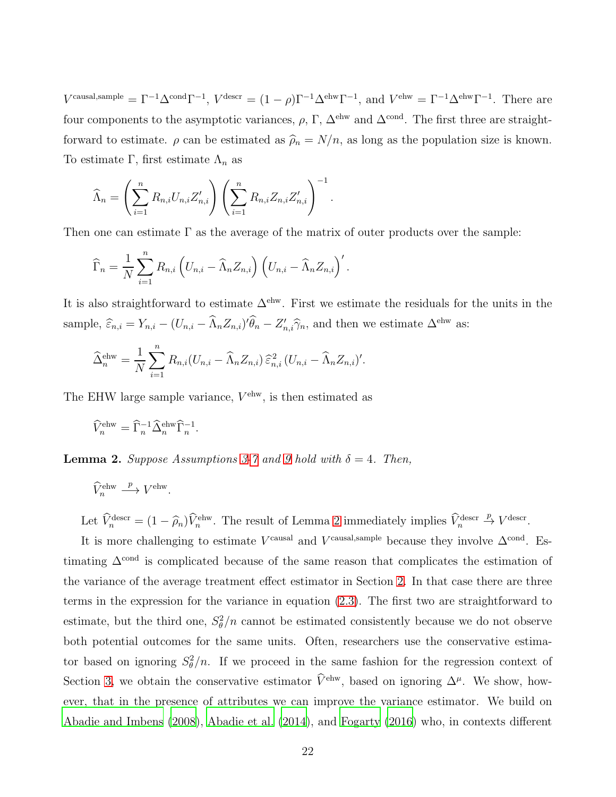Vcausal,sample =  $\Gamma^{-1}\Delta^{cond}\Gamma^{-1}$ ,  $V^{desc} = (1 - \rho)\Gamma^{-1}\Delta^{ehw}\Gamma^{-1}$ , and  $V^{ehw} = \Gamma^{-1}\Delta^{ehw}\Gamma^{-1}$ . There are four components to the asymptotic variances,  $\rho$ , Γ,  $\Delta^{\text{ehw}}$  and  $\Delta^{\text{cond}}$ . The first three are straightforward to estimate.  $\rho$  can be estimated as  $\hat{\rho}_n = N/n$ , as long as the population size is known. To estimate Γ, first estimate  $\Lambda_n$  as

$$
\widehat{\Lambda}_n = \left(\sum_{i=1}^n R_{n,i} U_{n,i} Z'_{n,i}\right) \left(\sum_{i=1}^n R_{n,i} Z_{n,i} Z'_{n,i}\right)^{-1}.
$$

Then one can estimate  $\Gamma$  as the average of the matrix of outer products over the sample:

$$
\widehat{\Gamma}_n = \frac{1}{N} \sum_{i=1}^n R_{n,i} \left( U_{n,i} - \widehat{\Lambda}_n Z_{n,i} \right) \left( U_{n,i} - \widehat{\Lambda}_n Z_{n,i} \right)'.
$$

It is also straightforward to estimate  $\Delta^{\text{ehw}}$ . First we estimate the residuals for the units in the sample,  $\widehat{\varepsilon}_{n,i} = Y_{n,i} - (U_{n,i} - \widehat{\Lambda}_n Z_{n,i})' \widehat{\theta}_n - Z'_{n,i} \widehat{\gamma}_n$ , and then we estimate  $\Delta^{\text{ehw}}$  as:

$$
\widehat{\Delta}_n^{\text{ehw}} = \frac{1}{N} \sum_{i=1}^n R_{n,i} (U_{n,i} - \widehat{\Lambda}_n Z_{n,i}) \widehat{\varepsilon}_{n,i}^2 (U_{n,i} - \widehat{\Lambda}_n Z_{n,i})'.
$$

The EHW large sample variance,  $V^{\text{ehw}}$ , is then estimated as

$$
\widehat{V}_n^{\text{ehw}} = \widehat{\Gamma}_n^{-1} \widehat{\Delta}_n^{\text{ehw}} \widehat{\Gamma}_n^{-1}.
$$

**Lemma 2.** Suppose Assumptions [3-](#page-10-0)[7](#page-14-1) and [9](#page-18-0) hold with  $\delta = 4$ . Then,

$$
\widehat{V}_n^{\text{ehw}} \stackrel{p}{\longrightarrow} V^{\text{ehw}}.
$$

Let  $\widehat{V}_n^{\text{descr}} = (1 - \widehat{\rho}_n) \widehat{V}_n^{\text{ehw}}$ . The result of Lemma [2](#page-31-0) immediately implies  $\widehat{V}_n^{\text{descr}} \stackrel{p}{\to} V^{\text{descr}}$ .

It is more challenging to estimate  $V^{\text{causal}}$  and  $V^{\text{causal,sample}}$  because they involve  $\Delta^{\text{cond}}$ . Estimating  $\Delta^{\text{cond}}$  is complicated because of the same reason that complicates the estimation of the variance of the average treatment effect estimator in Section [2.](#page-4-0) In that case there are three terms in the expression for the variance in equation [\(2.3\)](#page-7-0). The first two are straightforward to estimate, but the third one,  $S_{\theta}^2/n$  cannot be estimated consistently because we do not observe both potential outcomes for the same units. Often, researchers use the conservative estimator based on ignoring  $S_{\theta}^2/n$ . If we proceed in the same fashion for the regression context of Section [3,](#page-9-0) we obtain the conservative estimator  $\hat{V}^{\text{ehw}}$ , based on ignoring  $\Delta^{\mu}$ . We show, however, that in the presence of attributes we can improve the variance estimator. We build on [Abadie and Imbens \(2008\)](#page-35-3), [Abadie et al. \(2014](#page-35-4)), and [Fogarty \(2016](#page-36-15)) who, in contexts different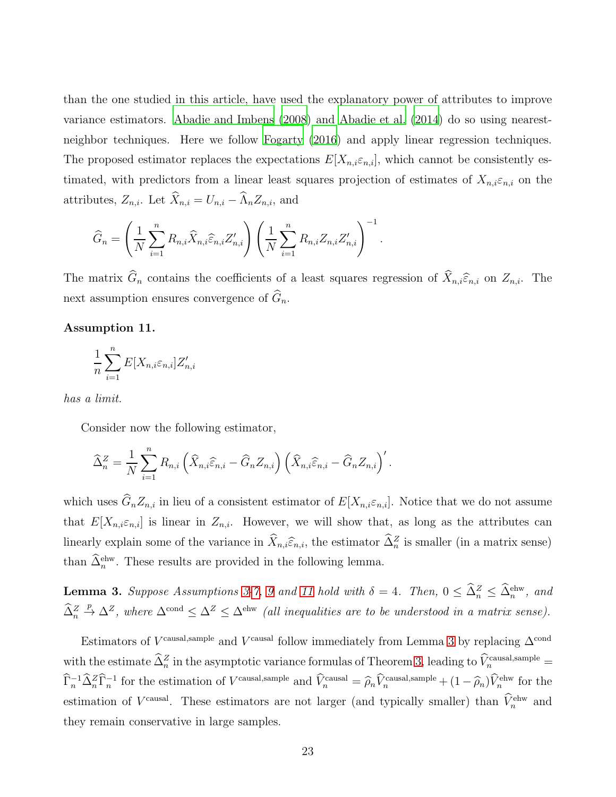than the one studied in this article, have used the explanatory power of attributes to improve variance estimators. [Abadie and Imbens \(2008](#page-35-3)) and [Abadie et al. \(2014](#page-35-4)) do so using nearestneighbor techniques. Here we follow [Fogarty \(2016\)](#page-36-15) and apply linear regression techniques. The proposed estimator replaces the expectations  $E[X_{n,i}\varepsilon_{n,i}]$ , which cannot be consistently estimated, with predictors from a linear least squares projection of estimates of  $X_{n,i} \varepsilon_{n,i}$  on the attributes,  $Z_{n,i}$ . Let  $\widehat{X}_{n,i} = U_{n,i} - \widehat{\Lambda}_n Z_{n,i}$ , and

$$
\widehat{G}_n = \left(\frac{1}{N} \sum_{i=1}^n R_{n,i} \widehat{X}_{n,i} \widehat{\varepsilon}_{n,i} Z'_{n,i}\right) \left(\frac{1}{N} \sum_{i=1}^n R_{n,i} Z_{n,i} Z'_{n,i}\right)^{-1}.
$$

The matrix  $\widehat{G}_n$  contains the coefficients of a least squares regression of  $\widehat{X}_{n,i}\widehat{\epsilon}_{n,i}$  on  $Z_{n,i}$ . The next assumption ensures convergence of  $\widehat{G}_n$ .

#### <span id="page-23-0"></span>Assumption 11.

$$
\frac{1}{n}\sum_{i=1}^{n}E[X_{n,i}\varepsilon_{n,i}]Z'_{n,i}
$$

has a limit.

Consider now the following estimator,

$$
\widehat{\Delta}_n^Z = \frac{1}{N} \sum_{i=1}^n R_{n,i} \left( \widehat{X}_{n,i} \widehat{\varepsilon}_{n,i} - \widehat{G}_n Z_{n,i} \right) \left( \widehat{X}_{n,i} \widehat{\varepsilon}_{n,i} - \widehat{G}_n Z_{n,i} \right)'.
$$

which uses  $\widehat{G}_n Z_{n,i}$  in lieu of a consistent estimator of  $E[X_{n,i}\varepsilon_{n,i}]$ . Notice that we do not assume that  $E[X_{n,i} \varepsilon_{n,i}]$  is linear in  $Z_{n,i}$ . However, we will show that, as long as the attributes can linearly explain some of the variance in  $\hat{X}_{n,i}\hat{\varepsilon}_{n,i}$ , the estimator  $\hat{\Delta}_n^Z$  is smaller (in a matrix sense) than  $\tilde{\Delta}_n^{\text{ehw}}$ . These results are provided in the following lemma.

<span id="page-23-1"></span>**Lemma [3](#page-10-0).** Suppose Assumptions 3[-7,](#page-14-1) [9](#page-18-0) and [11](#page-23-0) hold with  $\delta = 4$ . Then,  $0 \leq \tilde{\Delta}_n^Z \leq \tilde{\Delta}_n^{\text{ehw}}$ , and  $\hat{\Delta}_n^Z \stackrel{p}{\rightarrow} \Delta^Z$ , where  $\Delta^{\text{cond}} \leq \Delta^Z \leq \Delta^{\text{ehw}}$  (all inequalities are to be understood in a matrix sense).

Estimators of V<sup>-causal,sample</sup> and V<sup>-causal</sup> follow immediately from Lemma [3](#page-23-1) by replacing  $\Delta^{\text{cond}}$ with the estimate  $\hat{\Delta}_n^Z$  in the asymptotic variance formulas of Theorem [3,](#page-18-1) leading to  $\hat{V}_n^{\text{causal, sample}}$  $\hat{\Gamma}_n^{-1} \hat{\Delta}_n^Z \hat{\Gamma}_n^{-1}$  for the estimation of  $V^{\text{causal,sample}}$  and  $\hat{V}_n^{\text{causal}} = \hat{\rho}_n \hat{V}_n^{\text{causal,sample}} + (1 - \hat{\rho}_n) \hat{V}_n^{\text{ehw}}$  for the estimation of  $V^{\text{causal}}$ . These estimators are not larger (and typically smaller) than  $\hat{V}_n^{\text{ehw}}$  and they remain conservative in large samples.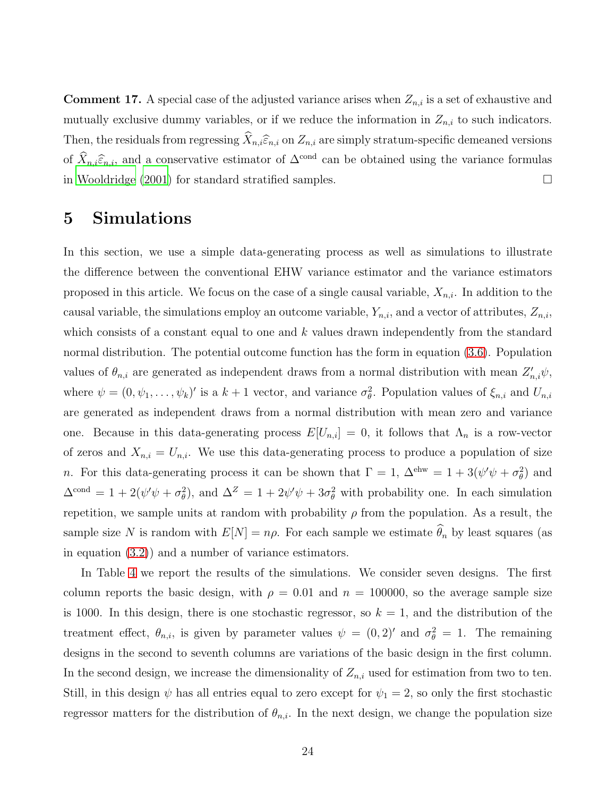**Comment 17.** A special case of the adjusted variance arises when  $Z_{n,i}$  is a set of exhaustive and mutually exclusive dummy variables, or if we reduce the information in  $Z_{n,i}$  to such indicators. Then, the residuals from regressing  $\widehat{X}_{n,i}\widehat{\epsilon}_{n,i}$  on  $Z_{n,i}$  are simply stratum-specific demeaned versions of  $\widehat{X}_{n,i}\widehat{\epsilon}_{n,i}$ , and a conservative estimator of  $\Delta^{\text{cond}}$  can be obtained using the variance formulas in [Wooldridge \(2001\)](#page-38-1) for standard stratified samples.  $\Box$ 

### 5 Simulations

In this section, we use a simple data-generating process as well as simulations to illustrate the difference between the conventional EHW variance estimator and the variance estimators proposed in this article. We focus on the case of a single causal variable,  $X_{n,i}$ . In addition to the causal variable, the simulations employ an outcome variable,  $Y_{n,i}$ , and a vector of attributes,  $Z_{n,i}$ , which consists of a constant equal to one and  $k$  values drawn independently from the standard normal distribution. The potential outcome function has the form in equation [\(3.6\)](#page-15-1). Population values of  $\theta_{n,i}$  are generated as independent draws from a normal distribution with mean  $Z'_{n,i}\psi$ , where  $\psi = (0, \psi_1, \dots, \psi_k)'$  is a  $k+1$  vector, and variance  $\sigma_{\theta}^2$ . Population values of  $\xi_{n,i}$  and  $U_{n,i}$ are generated as independent draws from a normal distribution with mean zero and variance one. Because in this data-generating process  $E[U_{n,i}] = 0$ , it follows that  $\Lambda_n$  is a row-vector of zeros and  $X_{n,i} = U_{n,i}$ . We use this data-generating process to produce a population of size *n*. For this data-generating process it can be shown that  $\Gamma = 1$ ,  $\Delta^{\text{ehw}} = 1 + 3(\psi'\psi + \sigma_\theta^2)$  and  $\Delta^{\text{cond}} = 1 + 2(\psi'\psi + \sigma_\theta^2)$ , and  $\Delta^Z = 1 + 2\psi'\psi + 3\sigma_\theta^2$  with probability one. In each simulation repetition, we sample units at random with probability  $\rho$  from the population. As a result, the sample size N is random with  $E[N] = n\rho$ . For each sample we estimate  $\widehat{\theta}_n$  by least squares (as in equation [\(3.2\)](#page-11-2)) and a number of variance estimators.

In Table [4](#page-39-0) we report the results of the simulations. We consider seven designs. The first column reports the basic design, with  $\rho = 0.01$  and  $n = 100000$ , so the average sample size is 1000. In this design, there is one stochastic regressor, so  $k = 1$ , and the distribution of the treatment effect,  $\theta_{n,i}$ , is given by parameter values  $\psi = (0,2)'$  and  $\sigma_{\theta}^2 = 1$ . The remaining designs in the second to seventh columns are variations of the basic design in the first column. In the second design, we increase the dimensionality of  $Z_{n,i}$  used for estimation from two to ten. Still, in this design  $\psi$  has all entries equal to zero except for  $\psi_1 = 2$ , so only the first stochastic regressor matters for the distribution of  $\theta_{n,i}$ . In the next design, we change the population size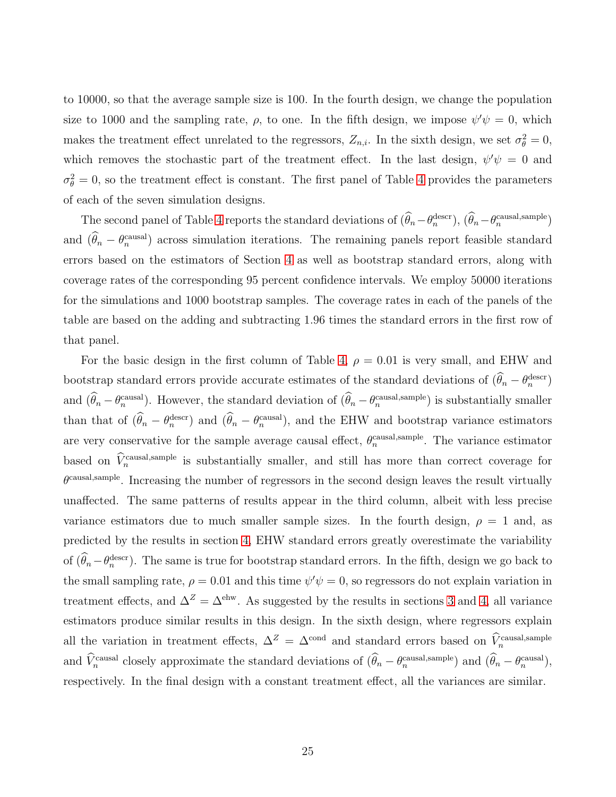to 10000, so that the average sample size is 100. In the fourth design, we change the population size to 1000 and the sampling rate,  $\rho$ , to one. In the fifth design, we impose  $\psi' \psi = 0$ , which makes the treatment effect unrelated to the regressors,  $Z_{n,i}$ . In the sixth design, we set  $\sigma_{\theta}^2 = 0$ , which removes the stochastic part of the treatment effect. In the last design,  $\psi' \psi = 0$  and  $\sigma_{\theta}^2 = 0$ , so the treatment effect is constant. The first panel of Table [4](#page-39-0) provides the parameters of each of the seven simulation designs.

The second panel of Table [4](#page-39-0) reports the standard deviations of  $(\hat{\theta}_n - \theta_n^{\text{desc}})$ ,  $(\hat{\theta}_n - \theta_n^{\text{causal,sample}})$ and  $(\hat{\theta}_n - \theta_n^{\text{causal}})$  across simulation iterations. The remaining panels report feasible standard errors based on the estimators of Section [4](#page-21-1) as well as bootstrap standard errors, along with coverage rates of the corresponding 95 percent confidence intervals. We employ 50000 iterations for the simulations and 1000 bootstrap samples. The coverage rates in each of the panels of the table are based on the adding and subtracting 1.96 times the standard errors in the first row of that panel.

For the basic design in the first column of Table [4,](#page-39-0)  $\rho = 0.01$  is very small, and EHW and bootstrap standard errors provide accurate estimates of the standard deviations of  $(\hat{\theta}_n - \theta_n^{\text{descr}})$ and  $(\hat{\theta}_n - \theta_n^{\text{causal}})$ . However, the standard deviation of  $(\hat{\theta}_n - \theta_n^{\text{causal,sample}})$  is substantially smaller than that of  $(\hat{\theta}_n - \theta_n^{\text{descr}})$  and  $(\hat{\theta}_n - \theta_n^{\text{causal}})$ , and the EHW and bootstrap variance estimators are very conservative for the sample average causal effect,  $\theta_n^{\text{causal, sample}}$ . The variance estimator based on  $\hat{V}_n^{\text{causal,sample}}$  is substantially smaller, and still has more than correct coverage for  $\theta^{\text{causal,sample}}$ . Increasing the number of regressors in the second design leaves the result virtually unaffected. The same patterns of results appear in the third column, albeit with less precise variance estimators due to much smaller sample sizes. In the fourth design,  $\rho = 1$  and, as predicted by the results in section [4,](#page-21-1) EHW standard errors greatly overestimate the variability of  $(\hat{\theta}_n - \theta_n^{\text{descr}})$ . The same is true for bootstrap standard errors. In the fifth, design we go back to the small sampling rate,  $\rho = 0.01$  and this time  $\psi' \psi = 0$ , so regressors do not explain variation in treatment effects, and  $\Delta^Z = \Delta^{\text{ehw}}$ . As suggested by the results in sections [3](#page-9-0) and [4,](#page-21-1) all variance estimators produce similar results in this design. In the sixth design, where regressors explain all the variation in treatment effects,  $\Delta^Z = \Delta^{\text{cond}}$  and standard errors based on  $\hat{V}_n^{\text{causal, sample}}$ and  $\hat{V}_n^{\text{causal}}$  closely approximate the standard deviations of  $(\hat{\theta}_n - \theta_n^{\text{causal,sample}})$  and  $(\hat{\theta}_n - \theta_n^{\text{causal}})$ , respectively. In the final design with a constant treatment effect, all the variances are similar.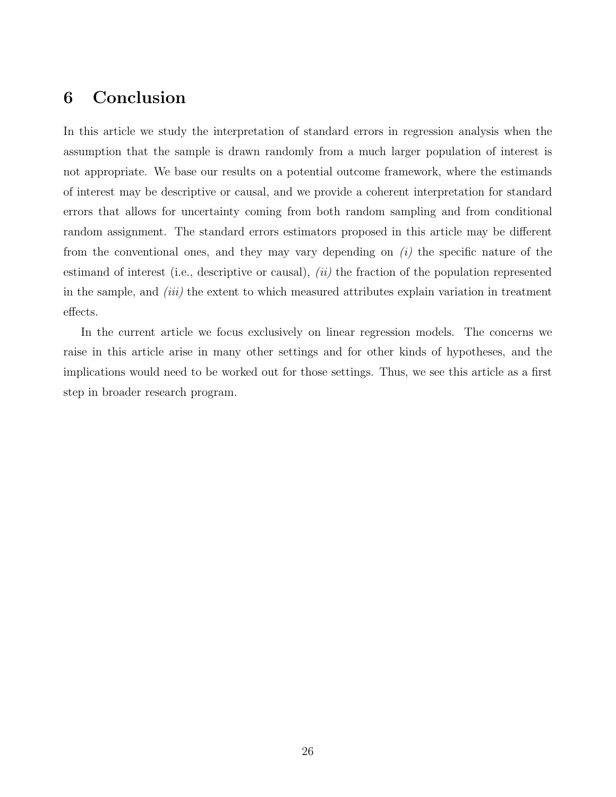# 6 Conclusion

In this article we study the interpretation of standard errors in regression analysis when the assumption that the sample is drawn randomly from a much larger population of interest is not appropriate. We base our results on a potential outcome framework, where the estimands of interest may be descriptive or causal, and we provide a coherent interpretation for standard errors that allows for uncertainty coming from both random sampling and from conditional random assignment. The standard errors estimators proposed in this article may be different from the conventional ones, and they may vary depending on  $(i)$  the specific nature of the estimand of interest (i.e., descriptive or causal), *(ii)* the fraction of the population represented in the sample, and  $(iii)$  the extent to which measured attributes explain variation in treatment effects.

In the current article we focus exclusively on linear regression models. The concerns we raise in this article arise in many other settings and for other kinds of hypotheses, and the implications would need to be worked out for those settings. Thus, we see this article as a first step in broader research program.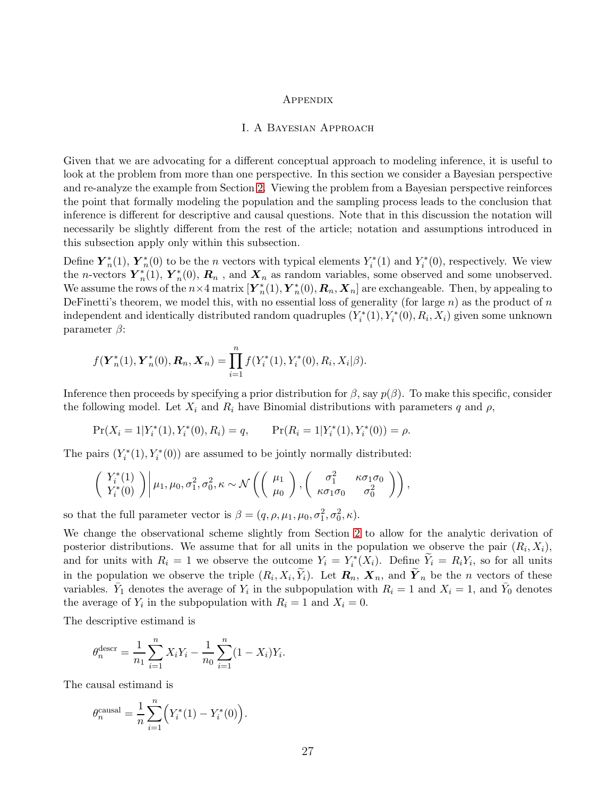#### **APPENDIX**

#### I. A Bayesian Approach

Given that we are advocating for a different conceptual approach to modeling inference, it is useful to look at the problem from more than one perspective. In this section we consider a Bayesian perspective and re-analyze the example from Section [2.](#page-4-0) Viewing the problem from a Bayesian perspective reinforces the point that formally modeling the population and the sampling process leads to the conclusion that inference is different for descriptive and causal questions. Note that in this discussion the notation will necessarily be slightly different from the rest of the article; notation and assumptions introduced in this subsection apply only within this subsection.

Define  $\boldsymbol{Y}_n^*$  $_{n}^{*}(1),\, \boldsymbol{Y}_{n}^{*}$  $n(n)$  to be the *n* vectors with typical elements  $Y_i^*$  $i^*(1)$  and  $Y_i^*$  $\tilde{t}_i^*(0)$ , respectively. We view the *n*-vectors  $\overline{Y}_n^*$  $n^{*}(1), Y_{n}^{*}$  $n_n^*(0)$ ,  $\mathbf{R}_n$ , and  $\mathbf{X}_n$  as random variables, some observed and some unobserved. We assume the rows of the  $n \times 4$  matrix  $[\boldsymbol{Y}_n^*]$  $\stackrel{*}{n}(1),\bm{Y}_n^*$  $n_n^*(0), \mathbf{R}_n, \mathbf{X}_n$  are exchangeable. Then, by appealing to DeFinetti's theorem, we model this, with no essential loss of generality (for large  $n$ ) as the product of  $n$ independent and identically distributed random quadruples  $(Y_i^*$  $X_i^*(1), Y_i^*(0), R_i, X_i$  given some unknown parameter  $\beta$ :

$$
f(\mathbf{Y}_{n}^{*}(1), \mathbf{Y}_{n}^{*}(0), \mathbf{R}_{n}, \mathbf{X}_{n}) = \prod_{i=1}^{n} f(Y_{i}^{*}(1), Y_{i}^{*}(0), R_{i}, X_{i}|\beta).
$$

Inference then proceeds by specifying a prior distribution for  $\beta$ , say  $p(\beta)$ . To make this specific, consider the following model. Let  $X_i$  and  $R_i$  have Binomial distributions with parameters q and  $\rho$ ,

$$
Pr(X_i = 1 | Y_i^*(1), Y_i^*(0), R_i) = q, \qquad Pr(R_i = 1 | Y_i^*(1), Y_i^*(0)) = \rho.
$$

The pairs  $(Y_i^*$  $i^*(1), Y_i^*(0)$  are assumed to be jointly normally distributed:

$$
\begin{pmatrix}\nY_i^*(1) \\
Y_i^*(0)\n\end{pmatrix}\n\bigg|\n\mu_1, \mu_0, \sigma_1^2, \sigma_0^2, \kappa \sim \mathcal{N}\left(\begin{pmatrix}\n\mu_1 \\
\mu_0\n\end{pmatrix}, \begin{pmatrix}\n\sigma_1^2 & \kappa \sigma_1 \sigma_0 \\
\kappa \sigma_1 \sigma_0 & \sigma_0^2\n\end{pmatrix}\right),
$$

so that the full parameter vector is  $\beta = (q, \rho, \mu_1, \mu_0, \sigma_1^2, \sigma_0^2, \kappa).$ 

We change the observational scheme slightly from Section [2](#page-4-0) to allow for the analytic derivation of posterior distributions. We assume that for all units in the population we observe the pair  $(R_i, X_i)$ , and for units with  $R_i = 1$  we observe the outcome  $Y_i = Y_i^*$  $\int_i^*(X_i)$ . Define  $Y_i = R_i Y_i$ , so for all units in the population we observe the triple  $(R_i, X_i, \tilde{Y}_i)$ . Let  $\mathbf{R}_n$ ,  $\mathbf{X}_n$ , and  $\tilde{\mathbf{Y}}_n$  be the n vectors of these variables.  $\bar{Y}_1$  denotes the average of  $Y_i$  in the subpopulation with  $R_i = 1$  and  $X_i = 1$ , and  $\bar{Y}_0$  denotes the average of  $Y_i$  in the subpopulation with  $R_i = 1$  and  $X_i = 0$ .

The descriptive estimand is

$$
\theta_n^{\text{descr}} = \frac{1}{n_1} \sum_{i=1}^n X_i Y_i - \frac{1}{n_0} \sum_{i=1}^n (1 - X_i) Y_i.
$$

The causal estimand is

$$
\theta_n^{\text{causal}} = \frac{1}{n} \sum_{i=1}^n \left( Y_i^*(1) - Y_i^*(0) \right).
$$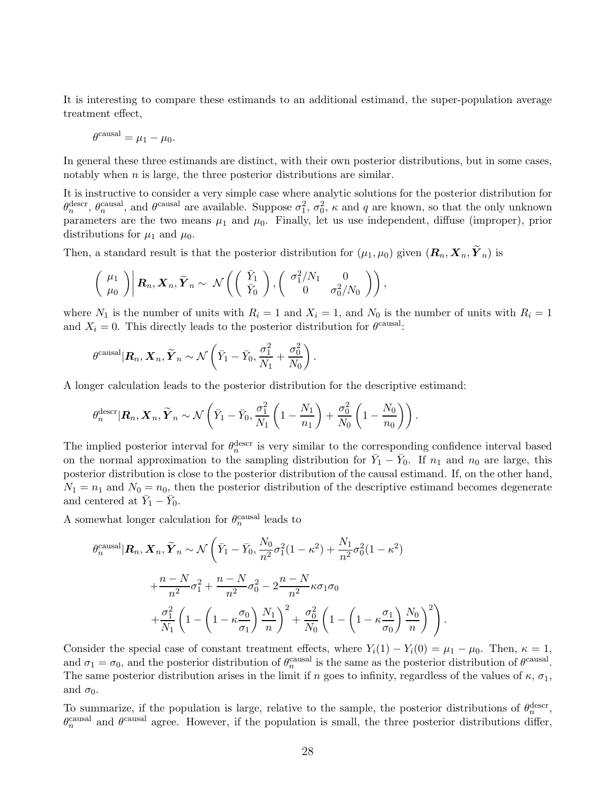It is interesting to compare these estimands to an additional estimand, the super-population average treatment effect,

$$
\theta^{\text{causal}} = \mu_1 - \mu_0.
$$

In general these three estimands are distinct, with their own posterior distributions, but in some cases, notably when  $n$  is large, the three posterior distributions are similar.

It is instructive to consider a very simple case where analytic solutions for the posterior distribution for  $\theta_n^{\text{descr}}, \theta_n^{\text{causal}},$  and  $\theta^{\text{causal}}$  are available. Suppose  $\sigma_1^2, \sigma_0^2, \kappa$  and q are known, so that the only unknown parameters are the two means  $\mu_1$  and  $\mu_0$ . Finally, let us use independent, diffuse (improper), prior distributions for  $\mu_1$  and  $\mu_0$ .

Then, a standard result is that the posterior distribution for  $(\mu_1, \mu_0)$  given  $(\mathbf{R}_n, \mathbf{X}_n, \widetilde{\mathbf{Y}}_n)$  is

$$
\begin{pmatrix} \mu_1 \\ \mu_0 \end{pmatrix} \bigg| \mathbf{R}_n, \mathbf{X}_n, \widetilde{\mathbf{Y}}_n \sim \mathcal{N} \left( \begin{pmatrix} \bar{Y}_1 \\ \bar{Y}_0 \end{pmatrix}, \begin{pmatrix} \sigma_1^2/N_1 & 0 \\ 0 & \sigma_0^2/N_0 \end{pmatrix} \right),
$$

where  $N_1$  is the number of units with  $R_i = 1$  and  $X_i = 1$ , and  $N_0$  is the number of units with  $R_i = 1$ and  $X_i = 0$ . This directly leads to the posterior distribution for  $\theta^{\text{causal}}$ .

$$
\theta^{\text{causal}} | \mathbf{R}_n, \mathbf{X}_n, \widetilde{\mathbf{Y}}_n \sim \mathcal{N}\left(\bar{Y}_1 - \bar{Y}_0, \frac{\sigma_1^2}{N_1} + \frac{\sigma_0^2}{N_0}\right).
$$

A longer calculation leads to the posterior distribution for the descriptive estimand:

$$
\theta_n^{\text{desc}} | \mathbf{R}_n, \mathbf{X}_n, \widetilde{\mathbf{Y}}_n \sim \mathcal{N}\left(\bar{Y}_1 - \bar{Y}_0, \frac{\sigma_1^2}{N_1}\left(1 - \frac{N_1}{n_1}\right) + \frac{\sigma_0^2}{N_0}\left(1 - \frac{N_0}{n_0}\right)\right).
$$

The implied posterior interval for  $\theta_n^{\text{descr}}$  is very similar to the corresponding confidence interval based on the normal approximation to the sampling distribution for  $\bar{Y}_1 - \bar{Y}_0$ . If  $n_1$  and  $n_0$  are large, this posterior distribution is close to the posterior distribution of the causal estimand. If, on the other hand,  $N_1 = n_1$  and  $N_0 = n_0$ , then the posterior distribution of the descriptive estimand becomes degenerate and centered at  $\bar{Y}_1 - \bar{Y}_0$ .

A somewhat longer calculation for  $\theta_n^{\text{causal}}$  leads to

$$
\theta_n^{\text{causal}} | \mathbf{R}_n, \mathbf{X}_n, \widetilde{\mathbf{Y}}_n \sim \mathcal{N} \left( \bar{Y}_1 - \bar{Y}_0, \frac{N_0}{n^2} \sigma_1^2 (1 - \kappa^2) + \frac{N_1}{n^2} \sigma_0^2 (1 - \kappa^2) + \frac{n - N}{n^2} \sigma_1^2 + \frac{n - N}{n^2} \sigma_0^2 - 2 \frac{n - N}{n^2} \kappa \sigma_1 \sigma_0 + \frac{\sigma_1^2}{N_1} \left( 1 - \left( 1 - \kappa \frac{\sigma_0}{\sigma_1} \right) \frac{N_1}{n} \right)^2 + \frac{\sigma_0^2}{N_0} \left( 1 - \left( 1 - \kappa \frac{\sigma_1}{\sigma_0} \right) \frac{N_0}{n} \right)^2 \right)
$$

Consider the special case of constant treatment effects, where  $Y_i(1) - Y_i(0) = \mu_1 - \mu_0$ . Then,  $\kappa = 1$ , and  $\sigma_1 = \sigma_0$ , and the posterior distribution of  $\theta_n^{\text{causal}}$  is the same as the posterior distribution of  $\theta_{n}^{\text{causal}}$ . The same posterior distribution arises in the limit if n goes to infinity, regardless of the values of  $\kappa$ ,  $\sigma_1$ , and  $\sigma_0$ .

.

To summarize, if the population is large, relative to the sample, the posterior distributions of  $\theta_n^{\text{desc}}$ ,  $\theta_n^{\text{causal}}$  and  $\theta^{\text{causal}}$  agree. However, if the population is small, the three posterior distributions differ,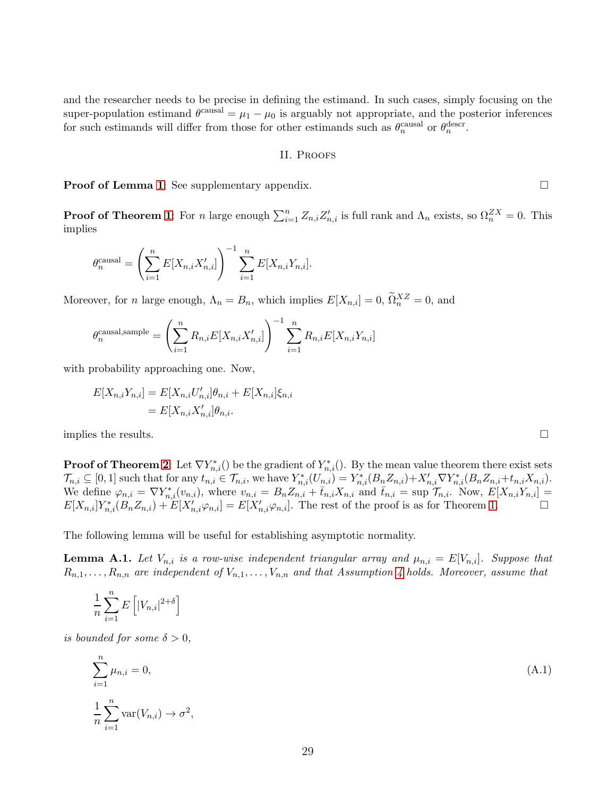and the researcher needs to be precise in defining the estimand. In such cases, simply focusing on the super-population estimand  $\theta^{\text{causal}} = \mu_1 - \mu_0$  is arguably not appropriate, and the posterior inferences for such estimands will differ from those for other estimands such as  $\theta_n^{\text{causal}}$  or  $\theta_n^{\text{descr}}$ .

#### II. Proofs

**Proof of Lemma [1](#page-29-0):** See supplementary appendix.

**Proof of Theorem [1](#page-16-0)**: For n large enough  $\sum_{i=1}^{n} Z_{n,i} Z'_{n,i}$  is full rank and  $\Lambda_n$  exists, so  $\Omega_n^{ZX} = 0$ . This implies

$$
\theta_n^{\text{causal}} = \left(\sum_{i=1}^n E[X_{n,i} X'_{n,i}]\right)^{-1} \sum_{i=1}^n E[X_{n,i} Y_{n,i}].
$$

Moreover, for *n* large enough,  $\Lambda_n = B_n$ , which implies  $E[X_{n,i}] = 0$ ,  $\tilde{\Omega}_n^{XZ} = 0$ , and

$$
\theta_n^{\text{causal,sample}} = \left(\sum_{i=1}^n R_{n,i} E[X_{n,i} X'_{n,i}]\right)^{-1} \sum_{i=1}^n R_{n,i} E[X_{n,i} Y_{n,i}]
$$

with probability approaching one. Now,

$$
E[X_{n,i}Y_{n,i}] = E[X_{n,i}U'_{n,i}]\theta_{n,i} + E[X_{n,i}]\xi_{n,i}
$$
  
=  $E[X_{n,i}X'_{n,i}]\theta_{n,i}.$ 

implies the results.  $\Box$ 

**Proof of Theorem [2](#page-16-1):** Let  $\nabla Y_{n,i}^*(\cdot)$  be the gradient of  $Y_{n,i}^*(\cdot)$ . By the mean value theorem there exist sets  $\mathcal{T}_{n,i} \subseteq [0,1]$  such that for any  $t_{n,i} \in \mathcal{T}_{n,i}$ , we have  $Y_{n,i}^*(U_{n,i}^{(n)}) = Y_{n,i}^*(B_n Z_{n,i}) + X_{n,i}' \nabla Y_{n,i}^*(B_n Z_{n,i} + t_{n,i} X_{n,i}).$ We define  $\varphi_{n,i} = \nabla Y_{n,i}^*(v_{n,i}),$  where  $v_{n,i} = B_n Z_{n,i} + \overline{t}_{n,i} X_{n,i}$  and  $\overline{t}_{n,i} = \sup \mathcal{T}_{n,i}$ . Now,  $E[X_{n,i} Y_{n,i}] =$  $E[X_{n,i}]Y_{n,i}^*(B_nZ_{n,i}) + E[X'_{n,i}\varphi_{n,i}] = E[X'_{n,i}\varphi_{n,i}]$ . The rest of the proof is as for Theorem [1.](#page-16-0)

The following lemma will be useful for establishing asymptotic normality.

<span id="page-29-0"></span>**Lemma A.1.** Let  $V_{n,i}$  is a row-wise independent triangular array and  $\mu_{n,i} = E[V_{n,i}]$ . Suppose that  $R_{n,1}, \ldots, R_{n,n}$  are independent of  $V_{n,1}, \ldots, V_{n,n}$  and that Assumption [4](#page-11-1) holds. Moreover, assume that

$$
\frac{1}{n}\sum_{i=1}^{n}E\left[|V_{n,i}|^{2+\delta}\right]
$$

*is bounded for some*  $\delta > 0$ *,* 

<span id="page-29-1"></span>
$$
\sum_{i=1}^{n} \mu_{n,i} = 0,
$$
\n
$$
\frac{1}{n} \sum_{i=1}^{n} \text{var}(V_{n,i}) \to \sigma^2,
$$
\n(A.1)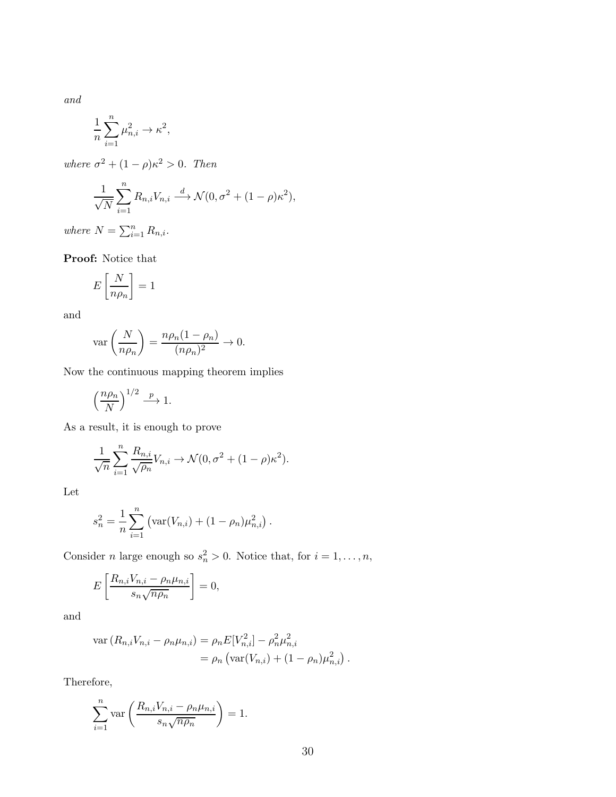*and*

$$
\frac{1}{n}\sum_{i=1}^n \mu_{n,i}^2 \to \kappa^2,
$$

*where*  $\sigma^2 + (1 - \rho)\kappa^2 > 0$ *. Then* 

$$
\frac{1}{\sqrt{N}}\sum_{i=1}^{n}R_{n,i}V_{n,i} \stackrel{d}{\longrightarrow} \mathcal{N}(0, \sigma^2 + (1-\rho)\kappa^2),
$$

*where*  $N = \sum_{i=1}^{n} R_{n,i}$ *.* 

Proof: Notice that

$$
E\left[\frac{N}{n\rho_n}\right] = 1
$$

and

$$
\operatorname{var}\left(\frac{N}{n\rho_n}\right) = \frac{n\rho_n(1-\rho_n)}{(n\rho_n)^2} \to 0.
$$

Now the continuous mapping theorem implies

$$
\left(\frac{n\rho_n}{N}\right)^{1/2} \stackrel{p}{\longrightarrow} 1.
$$

As a result, it is enough to prove

$$
\frac{1}{\sqrt{n}} \sum_{i=1}^{n} \frac{R_{n,i}}{\sqrt{\rho_n}} V_{n,i} \to \mathcal{N}(0, \sigma^2 + (1 - \rho)\kappa^2).
$$

Let

$$
s_n^2 = \frac{1}{n} \sum_{i=1}^n \left( \text{var}(V_{n,i}) + (1 - \rho_n) \mu_{n,i}^2 \right).
$$

Consider *n* large enough so  $s_n^2 > 0$ . Notice that, for  $i = 1, ..., n$ ,

$$
E\left[\frac{R_{n,i}V_{n,i} - \rho_n\mu_{n,i}}{s_n\sqrt{n\rho_n}}\right] = 0,
$$

and

$$
\operatorname{var}(R_{n,i}V_{n,i} - \rho_n \mu_{n,i}) = \rho_n E[V_{n,i}^2] - \rho_n^2 \mu_{n,i}^2
$$
  
=  $\rho_n \left( \operatorname{var}(V_{n,i}) + (1 - \rho_n) \mu_{n,i}^2 \right).$ 

Therefore,

$$
\sum_{i=1}^{n} \text{var}\left(\frac{R_{n,i}V_{n,i} - \rho_n \mu_{n,i}}{s_n \sqrt{n \rho_n}}\right) = 1.
$$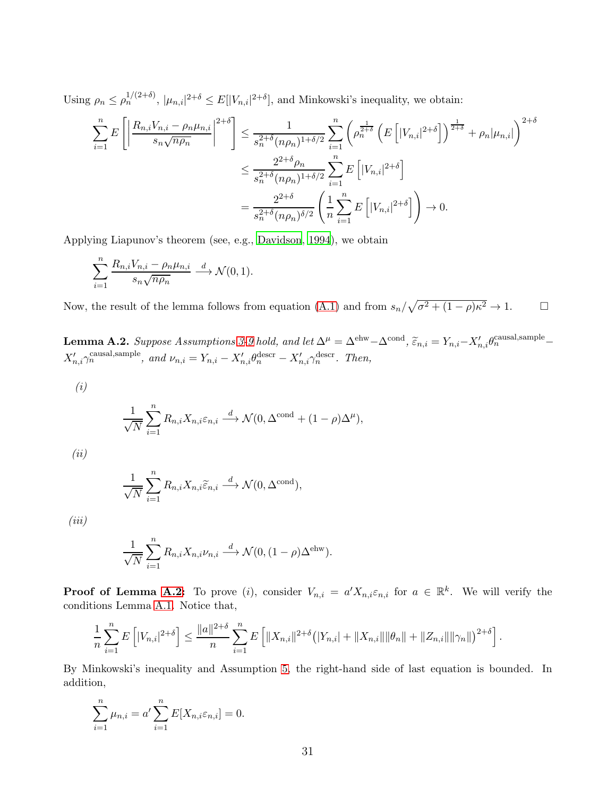Using  $\rho_n \le \rho_n^{1/(2+\delta)}$ ,  $|\mu_{n,i}|^{2+\delta} \le E[|V_{n,i}|^{2+\delta}]$ , and Minkowski's inequality, we obtain:

$$
\sum_{i=1}^{n} E\left[\left|\frac{R_{n,i}V_{n,i} - \rho_n\mu_{n,i}}{s_n\sqrt{n\rho_n}}\right|^{2+\delta}\right] \leq \frac{1}{s_n^{2+\delta}(n\rho_n)^{1+\delta/2}} \sum_{i=1}^{n} \left(\rho_n^{\frac{1}{2+\delta}} \left(E\left[|V_{n,i}|^{2+\delta}\right]\right)^{\frac{1}{2+\delta}} + \rho_n|\mu_{n,i}|\right)^{2+\delta}
$$

$$
\leq \frac{2^{2+\delta}\rho_n}{s_n^{2+\delta}(n\rho_n)^{1+\delta/2}} \sum_{i=1}^{n} E\left[|V_{n,i}|^{2+\delta}\right]
$$

$$
= \frac{2^{2+\delta}}{s_n^{2+\delta}(n\rho_n)^{\delta/2}} \left(\frac{1}{n}\sum_{i=1}^{n} E\left[|V_{n,i}|^{2+\delta}\right]\right) \to 0.
$$

Applying Liapunov's theorem (see, e.g., [Davidson](#page-36-16), [1994](#page-36-16)), we obtain

$$
\sum_{i=1}^{n} \frac{R_{n,i} V_{n,i} - \rho_n \mu_{n,i}}{s_n \sqrt{n \rho_n}} \xrightarrow{d} \mathcal{N}(0,1).
$$

Now, the result of the lemma follows from equation [\(A.1\)](#page-29-1) and from  $s_n/\sqrt{\sigma^2 + (1-\rho)\kappa^2} \to 1$ .

<span id="page-31-0"></span>**Lemma A.2.** Suppose Assumptions [3](#page-10-0)[-9](#page-18-0) hold, and let  $\Delta^{\mu} = \Delta^{\text{ehw}} - \Delta^{\text{cond}}$ ,  $\widetilde{\varepsilon}_{n,i} = Y_{n,i} - X'_{n,i} \theta_n^{\text{causal,sample}} X'_{n,i}\gamma_n^{\text{causal,sample}}, \text{ and } \nu_{n,i}=Y_{n,i}-X'_{n,i}\theta_n^{\text{descr}}-X'_{n,i}\gamma_n^{\text{descr}}.$  Then,

$$
\left( i\right)
$$

$$
\frac{1}{\sqrt{N}} \sum_{i=1}^{n} R_{n,i} X_{n,i} \varepsilon_{n,i} \xrightarrow{d} \mathcal{N}(0, \Delta^{\text{cond}} + (1 - \rho) \Delta^{\mu}),
$$

*(ii)*

$$
\frac{1}{\sqrt{N}}\sum_{i=1}^n R_{n,i}X_{n,i}\widetilde{\varepsilon}_{n,i} \stackrel{d}{\longrightarrow} \mathcal{N}(0,\Delta^{\mathrm{cond}}),
$$

*(iii)*

$$
\frac{1}{\sqrt{N}} \sum_{i=1}^{n} R_{n,i} X_{n,i} \nu_{n,i} \stackrel{d}{\longrightarrow} \mathcal{N}(0, (1-\rho) \Delta^{\text{ehw}}).
$$

**Proof of Lemma [A.2:](#page-31-0)** To prove (*i*), consider  $V_{n,i} = a' X_{n,i} \varepsilon_{n,i}$  for  $a \in \mathbb{R}^k$ . We will verify the conditions Lemma [A.1.](#page-29-0) Notice that,

$$
\frac{1}{n}\sum_{i=1}^n E\left[|V_{n,i}|^{2+\delta}\right] \le \frac{\|a\|^{2+\delta}}{n}\sum_{i=1}^n E\left[\|X_{n,i}\|^{2+\delta} \left(|Y_{n,i}| + \|X_{n,i}\|\|\theta_n\| + \|Z_{n,i}\|\|\gamma_n\|\right)^{2+\delta}\right].
$$

By Minkowski's inequality and Assumption [5,](#page-12-0) the right-hand side of last equation is bounded. In addition,

$$
\sum_{i=1}^{n} \mu_{n,i} = a' \sum_{i=1}^{n} E[X_{n,i} \varepsilon_{n,i}] = 0.
$$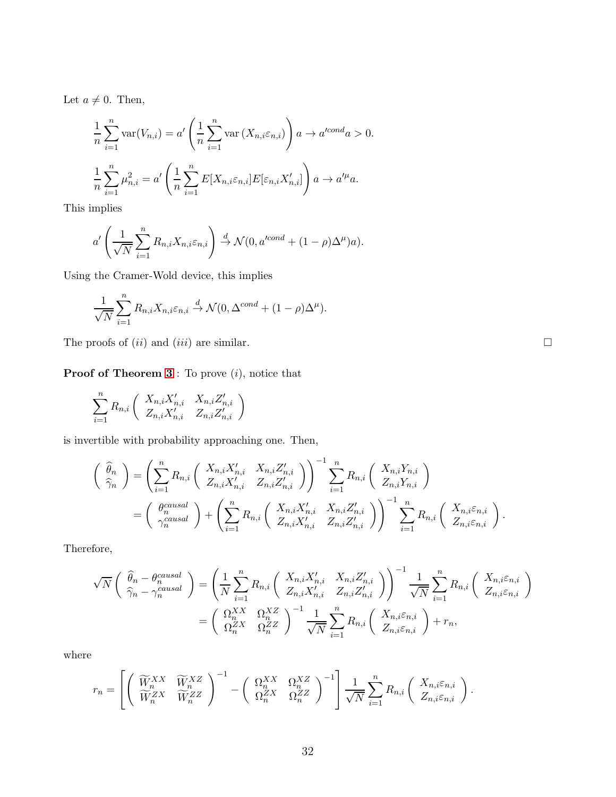Let  $a \neq 0$ . Then,

$$
\frac{1}{n}\sum_{i=1}^{n} \text{var}(V_{n,i}) = a' \left(\frac{1}{n}\sum_{i=1}^{n} \text{var}(X_{n,i}\varepsilon_{n,i})\right) a \to a'^{cond} a > 0.
$$
  

$$
\frac{1}{n}\sum_{i=1}^{n} \mu_{n,i}^{2} = a' \left(\frac{1}{n}\sum_{i=1}^{n} E[X_{n,i}\varepsilon_{n,i}] E[\varepsilon_{n,i}X'_{n,i}]\right) a \to a'^{\mu} a.
$$

This implies

$$
a'\left(\frac{1}{\sqrt{N}}\sum_{i=1}^n R_{n,i}X_{n,i}\varepsilon_{n,i}\right)\stackrel{d}{\to}\mathcal{N}(0,a'^{cond}+(1-\rho)\Delta^{\mu})a).
$$

Using the Cramer-Wold device, this implies

$$
\frac{1}{\sqrt{N}} \sum_{i=1}^{n} R_{n,i} X_{n,i} \varepsilon_{n,i} \stackrel{d}{\to} \mathcal{N}(0, \Delta^{cond} + (1 - \rho) \Delta^{\mu}).
$$

The proofs of  $(ii)$  and  $(iii)$  are similar.

**Proof of Theorem [3](#page-18-1)** : To prove  $(i)$ , notice that

$$
\sum_{i=1}^{n} R_{n,i} \left( \begin{array}{cc} X_{n,i} X'_{n,i} & X_{n,i} Z'_{n,i} \\ Z_{n,i} X'_{n,i} & Z_{n,i} Z'_{n,i} \end{array} \right)
$$

is invertible with probability approaching one. Then,

$$
\begin{aligned}\n\left(\begin{array}{c}\n\widehat{\theta}_{n} \\
\widehat{\gamma}_{n}\n\end{array}\right) &= \left(\sum_{i=1}^{n} R_{n,i} \left(\begin{array}{cc} X_{n,i}X'_{n,i} & X_{n,i}Z'_{n,i} \\
Z_{n,i}X'_{n,i} & Z_{n,i}Z'_{n,i}\n\end{array}\right)\right)^{-1} \sum_{i=1}^{n} R_{n,i} \left(\begin{array}{c} X_{n,i}Y_{n,i} \\
Z_{n,i}Y_{n,i}\n\end{array}\right) \\
&= \left(\begin{array}{c} \theta_{n}^{causal} \\
\gamma_{n}^{causal}\n\end{array}\right) + \left(\sum_{i=1}^{n} R_{n,i} \left(\begin{array}{cc} X_{n,i}X'_{n,i} & X_{n,i}Z'_{n,i} \\
Z_{n,i}X'_{n,i} & Z_{n,i}Z'_{n,i}\n\end{array}\right)\right)^{-1} \sum_{i=1}^{n} R_{n,i} \left(\begin{array}{c} X_{n,i}\varepsilon_{n,i} \\
Z_{n,i}\varepsilon_{n,i}\n\end{array}\right).\n\end{aligned}
$$

Therefore,

$$
\sqrt{N}\left(\begin{array}{c}\n\widehat{\theta}_{n} - \theta_{n}^{causal} \\
\widehat{\gamma}_{n} - \gamma_{n}^{causal}\n\end{array}\right) = \left(\frac{1}{N} \sum_{i=1}^{n} R_{n,i} \left(\begin{array}{cc} X_{n,i}X'_{n,i} & X_{n,i}Z'_{n,i} \\
Z_{n,i}X'_{n,i} & Z_{n,i}Z'_{n,i}\n\end{array}\right)\right)^{-1} \frac{1}{\sqrt{N}} \sum_{i=1}^{n} R_{n,i} \left(\begin{array}{c} X_{n,i}\varepsilon_{n,i} \\
Z_{n,i}\varepsilon_{n,i}\n\end{array}\right)
$$

$$
= \left(\begin{array}{cc} \Omega_{n}^{XX} & \Omega_{n}^{XZ} \\
\Omega_{n}^{ZX} & \Omega_{n}^{ZZ}\n\end{array}\right)^{-1} \frac{1}{\sqrt{N}} \sum_{i=1}^{n} R_{n,i} \left(\begin{array}{c} X_{n,i}\varepsilon_{n,i} \\
Z_{n,i}\varepsilon_{n,i}\n\end{array}\right) + r_{n},
$$

where

$$
r_n = \left[ \left( \begin{array}{cc} \widetilde{W}_n^{XX} & \widetilde{W}_n^{XZ} \\ \widetilde{W}_n^{ZX} & \widetilde{W}_n^{ZZ} \end{array} \right)^{-1} - \left( \begin{array}{cc} \Omega_n^{XX} & \Omega_n^{XZ} \\ \Omega_n^{ZX} & \Omega_n^{ZZ} \end{array} \right)^{-1} \right] \frac{1}{\sqrt{N}} \sum_{i=1}^n R_{n,i} \left( \begin{array}{c} X_{n,i} \varepsilon_{n,i} \\ Z_{n,i} \varepsilon_{n,i} \end{array} \right).
$$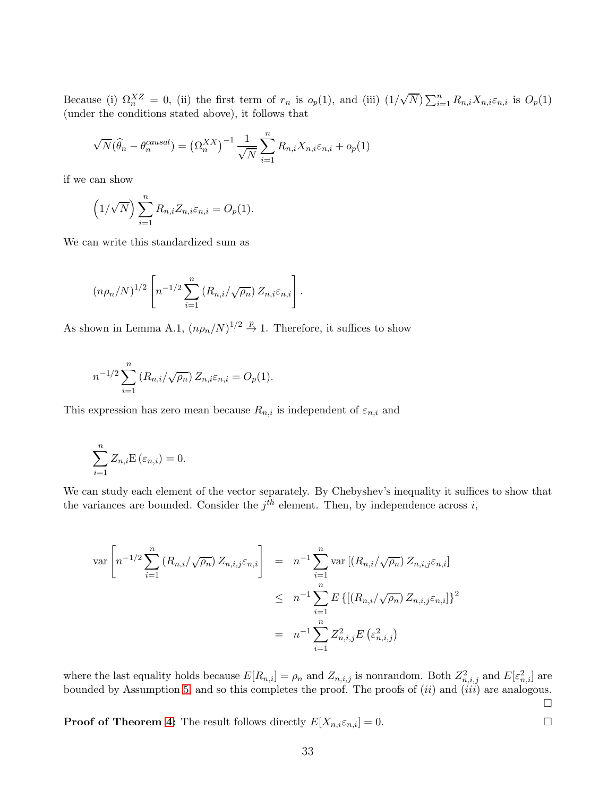Because (i)  $\Omega_n^{XZ} = 0$ , (ii) the first term of  $r_n$  is  $o_p(1)$ , and (iii)  $(1/\sqrt{N}) \sum_{i=1}^n R_{n,i} X_{n,i} \varepsilon_{n,i}$  is  $O_p(1)$ (under the conditions stated above), it follows that

$$
\sqrt{N}(\widehat{\theta}_n - \theta_n^{causal}) = (\Omega_n^{XX})^{-1} \frac{1}{\sqrt{N}} \sum_{i=1}^n R_{n,i} X_{n,i} \varepsilon_{n,i} + o_p(1)
$$

if we can show

$$
(1/\sqrt{N})\sum_{i=1}^n R_{n,i}Z_{n,i}\varepsilon_{n,i}=O_p(1).
$$

We can write this standardized sum as

$$
(n\rho_n/N)^{1/2}\left[n^{-1/2}\sum_{i=1}^n\left(R_{n,i}/\sqrt{\rho_n}\right)Z_{n,i}\varepsilon_{n,i}\right].
$$

As shown in Lemma A.1,  $(n\rho_n/N)^{1/2} \stackrel{p}{\rightarrow} 1$ . Therefore, it suffices to show

$$
n^{-1/2} \sum_{i=1}^{n} (R_{n,i}/\sqrt{\rho_n}) Z_{n,i} \varepsilon_{n,i} = O_p(1).
$$

This expression has zero mean because  $R_{n,i}$  is independent of  $\varepsilon_{n,i}$  and

$$
\sum_{i=1}^{n} Z_{n,i} \mathbf{E} \left( \varepsilon_{n,i} \right) = 0.
$$

We can study each element of the vector separately. By Chebyshev's inequality it suffices to show that the variances are bounded. Consider the  $j<sup>th</sup>$  element. Then, by independence across i,

$$
\operatorname{var}\left[n^{-1/2} \sum_{i=1}^{n} (R_{n,i}/\sqrt{\rho_n}) Z_{n,i,j} \varepsilon_{n,i}\right] = n^{-1} \sum_{i=1}^{n} \operatorname{var}\left[(R_{n,i}/\sqrt{\rho_n}) Z_{n,i,j} \varepsilon_{n,i}\right]
$$
  

$$
\leq n^{-1} \sum_{i=1}^{n} E\left\{[(R_{n,i}/\sqrt{\rho_n}) Z_{n,i,j} \varepsilon_{n,i}]\right\}^2
$$
  

$$
= n^{-1} \sum_{i=1}^{n} Z_{n,i,j}^2 E\left(\varepsilon_{n,i,j}^2\right)
$$

where the last equality holds because  $E[R_{n,i}] = \rho_n$  and  $Z_{n,i,j}$  is nonrandom. Both  $Z_{n,i,j}^2$  and  $E[\varepsilon_{n,i}^2]$  are bounded by Assumption [5,](#page-12-0) and so this completes the proof. The proofs of  $(ii)$  and  $(iii)$  are analogous.

 $\Box$ 

**Proof of Theorem [4:](#page-21-0)** The result follows directly  $E[X_{n,i} \varepsilon_{n,i}] = 0$ .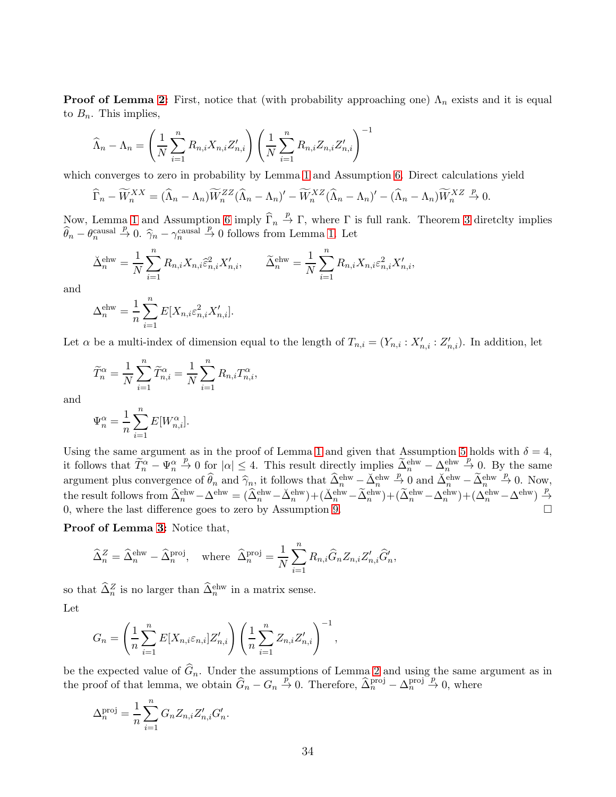**Proof of Lemma [2:](#page-31-0)** First, notice that (with probability approaching one)  $\Lambda_n$  exists and it is equal to  $B_n$ . This implies,

$$
\widehat{\Lambda}_n - \Lambda_n = \left(\frac{1}{N} \sum_{i=1}^n R_{n,i} X_{n,i} Z'_{n,i}\right) \left(\frac{1}{N} \sum_{i=1}^n R_{n,i} Z_{n,i} Z'_{n,i}\right)^{-1}
$$

which converges to zero in probability by Lemma [1](#page-29-0) and Assumption [6.](#page-12-1) Direct calculations yield

$$
\widehat{\Gamma}_n - \widetilde{W}_n^{XX} = (\widehat{\Lambda}_n - \Lambda_n) \widetilde{W}_n^{ZZ} (\widehat{\Lambda}_n - \Lambda_n)' - \widetilde{W}_n^{XZ} (\widehat{\Lambda}_n - \Lambda_n)' - (\widehat{\Lambda}_n - \Lambda_n) \widetilde{W}_n^{XZ} \xrightarrow{p} 0.
$$

Now, Lemma [1](#page-29-0) and Assumption [6](#page-12-1) imply  $\widehat{\Gamma}_n \stackrel{p}{\to} \Gamma$ , where  $\Gamma$  is full rank. Theorem [3](#page-18-1) diretclty implies  $\widehat{\theta}_n - \theta_n^{\text{causal}} \stackrel{p}{\to} 0$ .  $\widehat{\gamma}_n - \gamma_n^{\text{causal}} \stackrel{p}{\to} 0$  follows from Lemma [1.](#page-29-0) Let

$$
\check{\Delta}^{\text{ehw}}_n = \frac{1}{N} \sum_{i=1}^n R_{n,i} X_{n,i} \hat{\varepsilon}^2_{n,i} X'_{n,i}, \qquad \widetilde{\Delta}^{\text{ehw}}_n = \frac{1}{N} \sum_{i=1}^n R_{n,i} X_{n,i} \hat{\varepsilon}^2_{n,i} X'_{n,i},
$$

and

$$
\Delta_n^{\text{ehw}} = \frac{1}{n} \sum_{i=1}^n E[X_{n,i} \varepsilon_{n,i}^2 X'_{n,i}].
$$

Let  $\alpha$  be a multi-index of dimension equal to the length of  $T_{n,i} = (Y_{n,i} : X'_{n,i} : Z'_{n,i})$ . In addition, let

$$
\widetilde{T}_n^{\alpha} = \frac{1}{N} \sum_{i=1}^n \widetilde{T}_{n,i}^{\alpha} = \frac{1}{N} \sum_{i=1}^n R_{n,i} T_{n,i}^{\alpha},
$$

and

$$
\Psi_n^{\alpha} = \frac{1}{n} \sum_{i=1}^n E[W_{n,i}^{\alpha}].
$$

Using the same argument as in the proof of Lemma [1](#page-29-0) and given that Assumption [5](#page-12-0) holds with  $\delta = 4$ , it follows that  $\widetilde{T}_n^{\alpha} - \Psi_n^{\alpha} \stackrel{p}{\rightarrow} 0$  for  $|\alpha| \leq 4$ . This result directly implies  $\widetilde{A}_n^{\text{ehw}} - \Lambda_n^{\text{ehw}} \stackrel{p}{\rightarrow} 0$ . By the same argument plus convergence of  $\widehat{\theta}_n$  and  $\widehat{\gamma}_n$ , it follows that  $\widehat{\Delta}_n^{\text{ehw}} - \widecheck{\Delta}_n^{\text{ehw}} \stackrel{p}{\to} 0$  and  $\widecheck{\Delta}_n^{\text{ehw}} - \widecheck{\Delta}_n^{\text{ehw}} \stackrel{p}{\to} 0$ . Now, the result follows from  $\widehat{\Delta}_n^{\text{ehw}} - \Delta^{\text{ehw}} = (\widehat{\Delta}_n^{\text{ehw}} - \breve{\Delta}_n^{\text{ehw}}) + (\breve{\Delta}_n^{\text{ehw}} - \widetilde{\Delta}_n^{\text{ehw}}) + (\widetilde{\Delta}_n^{\text{ehw}} - \Delta_n^{\text{ehw}}) + (\Delta_n^{\text{ehw}} - \Delta_n^{\text{ehw}})$ 0, where the last difference goes to zero by Assumption [9.](#page-18-0)  $\Box$ 

Proof of Lemma [3:](#page-23-1) Notice that,

$$
\widehat{\Delta}_n^Z = \widehat{\Delta}_n^{\text{ehw}} - \widehat{\Delta}_n^{\text{proj}}, \quad \text{where} \quad \widehat{\Delta}_n^{\text{proj}} = \frac{1}{N} \sum_{i=1}^n R_{n,i} \widehat{G}_n Z_{n,i} Z'_{n,i} \widehat{G}'_n,
$$

so that  $\widehat{\Delta}_n^Z$  is no larger than  $\widehat{\Delta}_n^{\text{ehw}}$  in a matrix sense.  $L_{\alpha t}$ 

$$
\mathsf{ref}
$$

$$
G_n = \left(\frac{1}{n}\sum_{i=1}^n E[X_{n,i}\varepsilon_{n,i}]Z'_{n,i}\right)\left(\frac{1}{n}\sum_{i=1}^n Z_{n,i}Z'_{n,i}\right)^{-1},
$$

be the expected value of  $G_n$ . Under the assumptions of Lemma [2](#page-31-0) and using the same argument as in the proof of that lemma, we obtain  $\widehat{G}_n - G_n \stackrel{p}{\to} 0$ . Therefore,  $\widehat{\Delta}_n^{\text{proj}} - \Delta_n^{\text{proj}} \stackrel{p}{\to} 0$ , where

$$
\Delta_n^{\text{proj}} = \frac{1}{n} \sum_{i=1}^n G_n Z_{n,i} Z'_{n,i} G'_n.
$$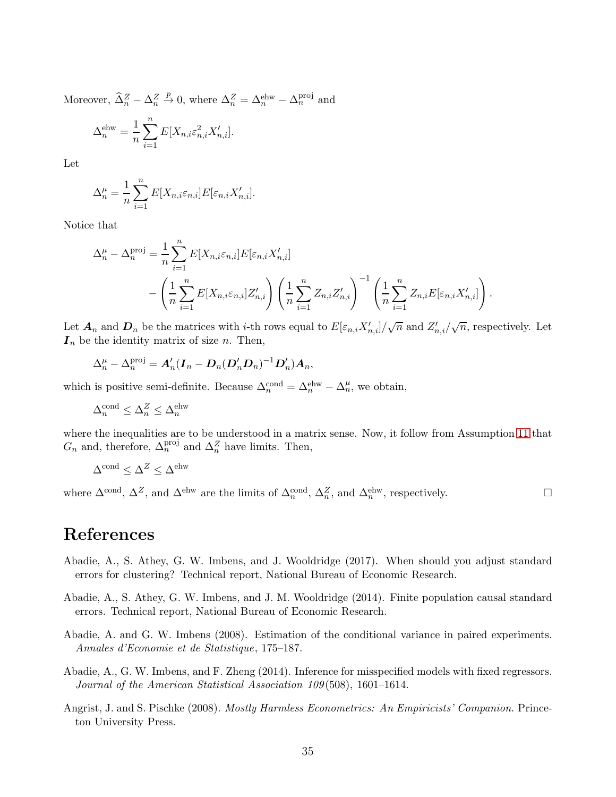Moreover,  $\hat{\Delta}_n^Z - \Delta_n^Z \stackrel{p}{\rightarrow} 0$ , where  $\Delta_n^Z = \Delta_n^{\text{ehw}} - \Delta_n^{\text{proj}}$  and  $\Delta_n^{\rm ehw} = \frac{1}{n}$ n  $\sum_{n=1}^{\infty}$  $i=1$  $E[X_{n,i}\varepsilon_{n,i}^2 X_{n,i}']$ .

Let

$$
\Delta_n^{\mu} = \frac{1}{n} \sum_{i=1}^n E[X_{n,i} \varepsilon_{n,i}] E[\varepsilon_{n,i} X'_{n,i}].
$$

Notice that

$$
\Delta_n^{\mu} - \Delta_n^{\text{proj}} = \frac{1}{n} \sum_{i=1}^n E[X_{n,i} \varepsilon_{n,i}] E[\varepsilon_{n,i} X'_{n,i}]
$$

$$
- \left( \frac{1}{n} \sum_{i=1}^n E[X_{n,i} \varepsilon_{n,i}] Z'_{n,i} \right) \left( \frac{1}{n} \sum_{i=1}^n Z_{n,i} Z'_{n,i} \right)^{-1} \left( \frac{1}{n} \sum_{i=1}^n Z_{n,i} E[\varepsilon_{n,i} X'_{n,i}] \right).
$$

Let  $A_n$  and  $D_n$  be the matrices with *i*-th rows equal to  $E[\varepsilon_{n,i}X'_{n,i}]/\sqrt{n}$  and  $Z'_{n,i}/\sqrt{n}$ , respectively. Let  $I_n$  be the identity matrix of size n. Then,

$$
\Delta_n^{\mu} - \Delta_n^{\text{proj}} = A'_n (I_n - D_n (D'_n D_n)^{-1} D'_n) A_n,
$$

which is positive semi-definite. Because  $\Delta_n^{\text{cond}} = \Delta_n^{\text{ehw}} - \Delta_n^{\mu}$ , we obtain,

$$
\Delta_n^{\text{cond}} \le \Delta_n^Z \le \Delta_n^{\text{ehw}}
$$

where the inequalities are to be understood in a matrix sense. Now, it follow from Assumption [11](#page-23-0) that  $G_n$  and, therefore,  $\Delta_n^{\text{proj}}$  and  $\Delta_n^Z$  have limits. Then,

$$
\Delta^{\rm cond}\leq \Delta^Z\leq \Delta^{\rm ehw}
$$

where  $\Delta^{\text{cond}}$ ,  $\Delta^Z$ , and  $\Delta^{\text{ehw}}$  are the limits of  $\Delta_n^{\text{cond}}$ ,  $\Delta_n^Z$ , and  $\Delta_n^{\text{ehw}}$ , respectively.

# References

- <span id="page-35-1"></span>Abadie, A., S. Athey, G. W. Imbens, and J. Wooldridge (2017). When should you adjust standard errors for clustering? Technical report, National Bureau of Economic Research.
- <span id="page-35-0"></span>Abadie, A., S. Athey, G. W. Imbens, and J. M. Wooldridge (2014). Finite population causal standard errors. Technical report, National Bureau of Economic Research.
- <span id="page-35-3"></span>Abadie, A. and G. W. Imbens (2008). Estimation of the conditional variance in paired experiments. *Annales d'Economie et de Statistique*, 175–187.
- <span id="page-35-4"></span>Abadie, A., G. W. Imbens, and F. Zheng (2014). Inference for misspecified models with fixed regressors. *Journal of the American Statistical Association 109*(508), 1601–1614.
- <span id="page-35-2"></span>Angrist, J. and S. Pischke (2008). *Mostly Harmless Econometrics: An Empiricists' Companion*. Princeton University Press.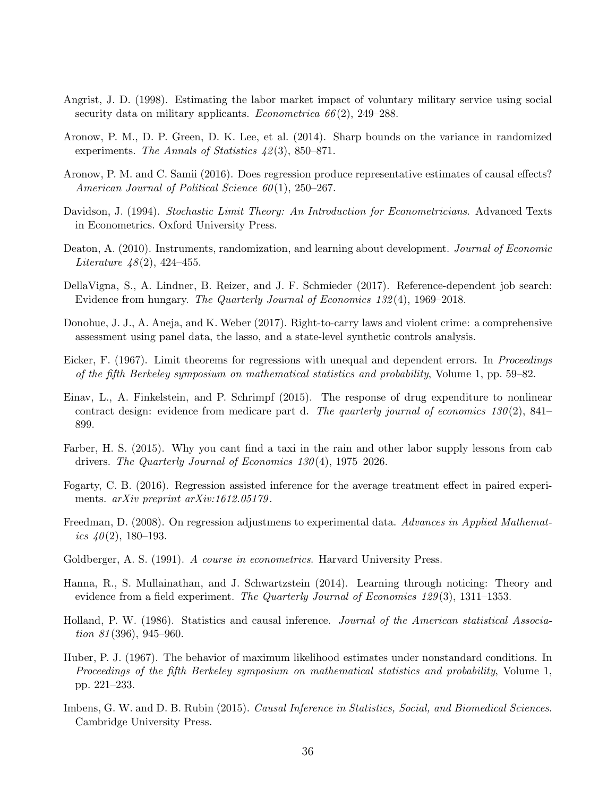- <span id="page-36-9"></span>Angrist, J. D. (1998). Estimating the labor market impact of voluntary military service using social security data on military applicants. *Econometrica 66*(2), 249–288.
- <span id="page-36-7"></span>Aronow, P. M., D. P. Green, D. K. Lee, et al. (2014). Sharp bounds on the variance in randomized experiments. *The Annals of Statistics 42*(3), 850–871.
- <span id="page-36-10"></span>Aronow, P. M. and C. Samii (2016). Does regression produce representative estimates of causal effects? *American Journal of Political Science 60*(1), 250–267.
- <span id="page-36-16"></span>Davidson, J. (1994). *Stochastic Limit Theory: An Introduction for Econometricians*. Advanced Texts in Econometrics. Oxford University Press.
- <span id="page-36-4"></span>Deaton, A. (2010). Instruments, randomization, and learning about development. *Journal of Economic Literature 48*(2), 424–455.
- <span id="page-36-11"></span>DellaVigna, S., A. Lindner, B. Reizer, and J. F. Schmieder (2017). Reference-dependent job search: Evidence from hungary. *The Quarterly Journal of Economics 132*(4), 1969–2018.
- <span id="page-36-5"></span>Donohue, J. J., A. Aneja, and K. Weber (2017). Right-to-carry laws and violent crime: a comprehensive assessment using panel data, the lasso, and a state-level synthetic controls analysis.
- <span id="page-36-2"></span>Eicker, F. (1967). Limit theorems for regressions with unequal and dependent errors. In *Proceedings of the fifth Berkeley symposium on mathematical statistics and probability*, Volume 1, pp. 59–82.
- <span id="page-36-12"></span>Einav, L., A. Finkelstein, and P. Schrimpf (2015). The response of drug expenditure to nonlinear contract design: evidence from medicare part d. *The quarterly journal of economics 130*(2), 841– 899.
- <span id="page-36-14"></span>Farber, H. S. (2015). Why you cant find a taxi in the rain and other labor supply lessons from cab drivers. *The Quarterly Journal of Economics 130*(4), 1975–2026.
- <span id="page-36-15"></span>Fogarty, C. B. (2016). Regression assisted inference for the average treatment effect in paired experiments. *arXiv preprint arXiv:1612.05179*.
- <span id="page-36-1"></span>Freedman, D. (2008). On regression adjustmens to experimental data. *Advances in Applied Mathematics 40*(2), 180–193.
- <span id="page-36-8"></span>Goldberger, A. S. (1991). *A course in econometrics*. Harvard University Press.
- <span id="page-36-13"></span>Hanna, R., S. Mullainathan, and J. Schwartzstein (2014). Learning through noticing: Theory and evidence from a field experiment. *The Quarterly Journal of Economics 129*(3), 1311–1353.
- <span id="page-36-6"></span>Holland, P. W. (1986). Statistics and causal inference. *Journal of the American statistical Association 81*(396), 945–960.
- <span id="page-36-3"></span>Huber, P. J. (1967). The behavior of maximum likelihood estimates under nonstandard conditions. In *Proceedings of the fifth Berkeley symposium on mathematical statistics and probability*, Volume 1, pp. 221–233.
- <span id="page-36-0"></span>Imbens, G. W. and D. B. Rubin (2015). *Causal Inference in Statistics, Social, and Biomedical Sciences*. Cambridge University Press.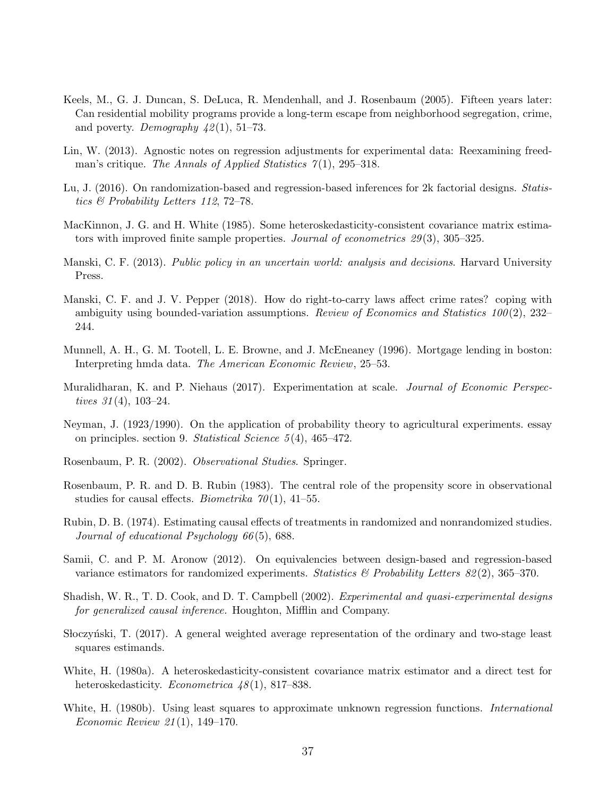- <span id="page-37-11"></span>Keels, M., G. J. Duncan, S. DeLuca, R. Mendenhall, and J. Rosenbaum (2005). Fifteen years later: Can residential mobility programs provide a long-term escape from neighborhood segregation, crime, and poverty. *Demography 42*(1), 51–73.
- <span id="page-37-5"></span>Lin, W. (2013). Agnostic notes on regression adjustments for experimental data: Reexamining freedman's critique. *The Annals of Applied Statistics 7*(1), 295–318.
- <span id="page-37-4"></span>Lu, J. (2016). On randomization-based and regression-based inferences for 2k factorial designs. *Statistics & Probability Letters 112*, 72–78.
- <span id="page-37-13"></span>MacKinnon, J. G. and H. White (1985). Some heteroskedasticity-consistent covariance matrix estimators with improved finite sample properties. *Journal of econometrics 29*(3), 305–325.
- <span id="page-37-9"></span>Manski, C. F. (2013). *Public policy in an uncertain world: analysis and decisions*. Harvard University Press.
- <span id="page-37-0"></span>Manski, C. F. and J. V. Pepper (2018). How do right-to-carry laws affect crime rates? coping with ambiguity using bounded-variation assumptions. *Review of Economics and Statistics 100*(2), 232– 244.
- <span id="page-37-16"></span>Munnell, A. H., G. M. Tootell, L. E. Browne, and J. McEneaney (1996). Mortgage lending in boston: Interpreting hmda data. *The American Economic Review*, 25–53.
- <span id="page-37-10"></span>Muralidharan, K. and P. Niehaus (2017). Experimentation at scale. *Journal of Economic Perspectives 31*(4), 103–24.
- <span id="page-37-1"></span>Neyman, J. (1923/1990). On the application of probability theory to agricultural experiments. essay on principles. section 9. *Statistical Science 5*(4), 465–472.
- <span id="page-37-2"></span>Rosenbaum, P. R. (2002). *Observational Studies*. Springer.
- <span id="page-37-14"></span>Rosenbaum, P. R. and D. B. Rubin (1983). The central role of the propensity score in observational studies for causal effects. *Biometrika 70*(1), 41–55.
- <span id="page-37-12"></span>Rubin, D. B. (1974). Estimating causal effects of treatments in randomized and nonrandomized studies. *Journal of educational Psychology 66*(5), 688.
- <span id="page-37-3"></span>Samii, C. and P. M. Aronow (2012). On equivalencies between design-based and regression-based variance estimators for randomized experiments. *Statistics & Probability Letters 82*(2), 365–370.
- <span id="page-37-8"></span>Shadish, W. R., T. D. Cook, and D. T. Campbell (2002). *Experimental and quasi-experimental designs for generalized causal inference.* Houghton, Mifflin and Company.
- <span id="page-37-15"></span>Stoczyński, T. (2017). A general weighted average representation of the ordinary and two-stage least squares estimands.
- <span id="page-37-6"></span>White, H. (1980a). A heteroskedasticity-consistent covariance matrix estimator and a direct test for heteroskedasticity. *Econometrica 48*(1), 817–838.
- <span id="page-37-7"></span>White, H. (1980b). Using least squares to approximate unknown regression functions. *International Economic Review 21*(1), 149–170.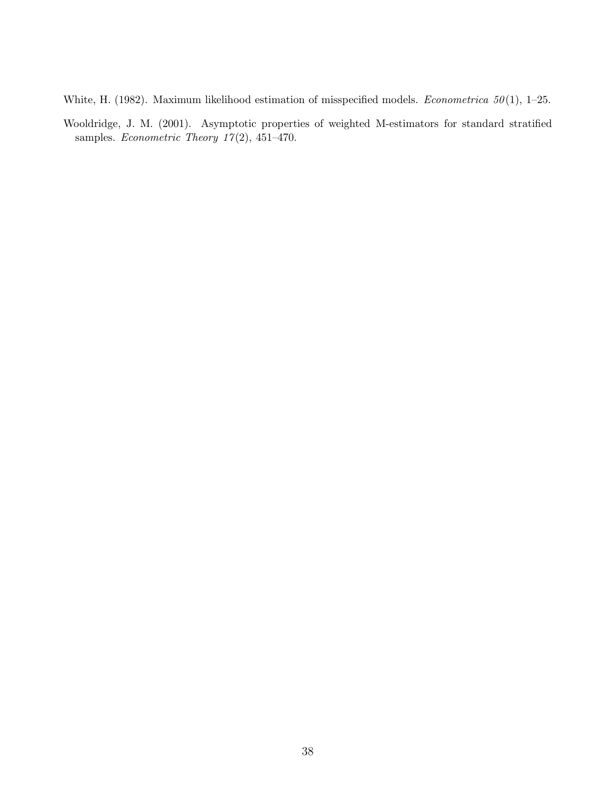- <span id="page-38-0"></span>White, H. (1982). Maximum likelihood estimation of misspecified models. *Econometrica 50*(1), 1–25.
- <span id="page-38-1"></span>Wooldridge, J. M. (2001). Asymptotic properties of weighted M-estimators for standard stratified samples. *Econometric Theory 17*(2), 451–470.